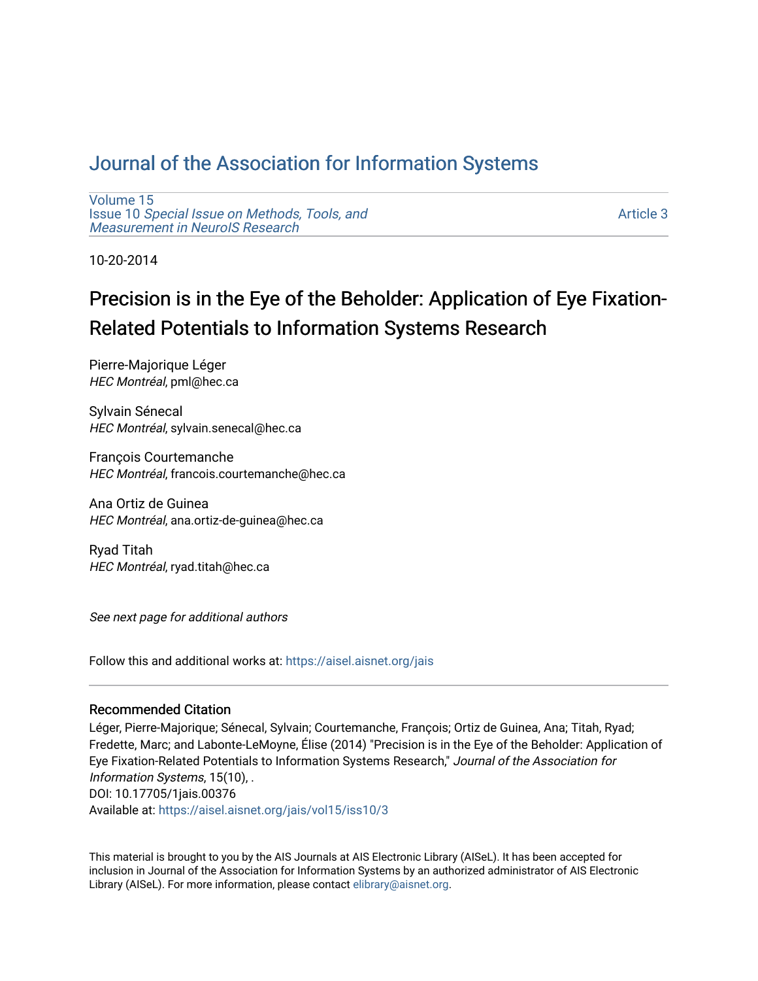## [Journal of the Association for Information Systems](https://aisel.aisnet.org/jais)

[Volume 15](https://aisel.aisnet.org/jais/vol15) Issue 10 [Special Issue on Methods, Tools, and](https://aisel.aisnet.org/jais/vol15/iss10)  [Measurement in NeuroIS Research](https://aisel.aisnet.org/jais/vol15/iss10)

[Article 3](https://aisel.aisnet.org/jais/vol15/iss10/3) 

10-20-2014

# Precision is in the Eye of the Beholder: Application of Eye Fixation-Related Potentials to Information Systems Research

Pierre-Majorique Léger HEC Montréal, pml@hec.ca

Sylvain Sénecal HEC Montréal, sylvain.senecal@hec.ca

François Courtemanche HEC Montréal, francois.courtemanche@hec.ca

Ana Ortiz de Guinea HEC Montréal, ana.ortiz-de-guinea@hec.ca

Ryad Titah HEC Montréal, ryad.titah@hec.ca

See next page for additional authors

Follow this and additional works at: [https://aisel.aisnet.org/jais](https://aisel.aisnet.org/jais?utm_source=aisel.aisnet.org%2Fjais%2Fvol15%2Fiss10%2F3&utm_medium=PDF&utm_campaign=PDFCoverPages) 

#### Recommended Citation

Léger, Pierre-Majorique; Sénecal, Sylvain; Courtemanche, François; Ortiz de Guinea, Ana; Titah, Ryad; Fredette, Marc; and Labonte-LeMoyne, Élise (2014) "Precision is in the Eye of the Beholder: Application of Eye Fixation-Related Potentials to Information Systems Research," Journal of the Association for Information Systems, 15(10), . DOI: 10.17705/1jais.00376 Available at: [https://aisel.aisnet.org/jais/vol15/iss10/3](https://aisel.aisnet.org/jais/vol15/iss10/3?utm_source=aisel.aisnet.org%2Fjais%2Fvol15%2Fiss10%2F3&utm_medium=PDF&utm_campaign=PDFCoverPages) 

This material is brought to you by the AIS Journals at AIS Electronic Library (AISeL). It has been accepted for inclusion in Journal of the Association for Information Systems by an authorized administrator of AIS Electronic Library (AISeL). For more information, please contact [elibrary@aisnet.org.](mailto:elibrary@aisnet.org%3E)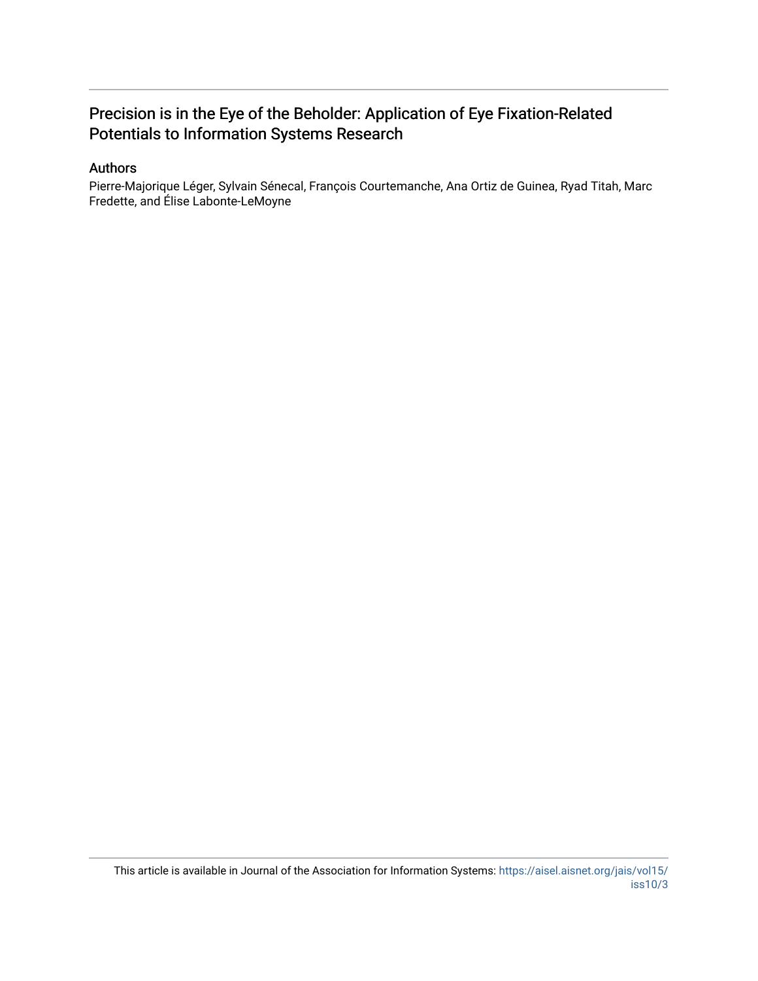## Precision is in the Eye of the Beholder: Application of Eye Fixation-Related Potentials to Information Systems Research

#### Authors

Pierre-Majorique Léger, Sylvain Sénecal, François Courtemanche, Ana Ortiz de Guinea, Ryad Titah, Marc Fredette, and Élise Labonte-LeMoyne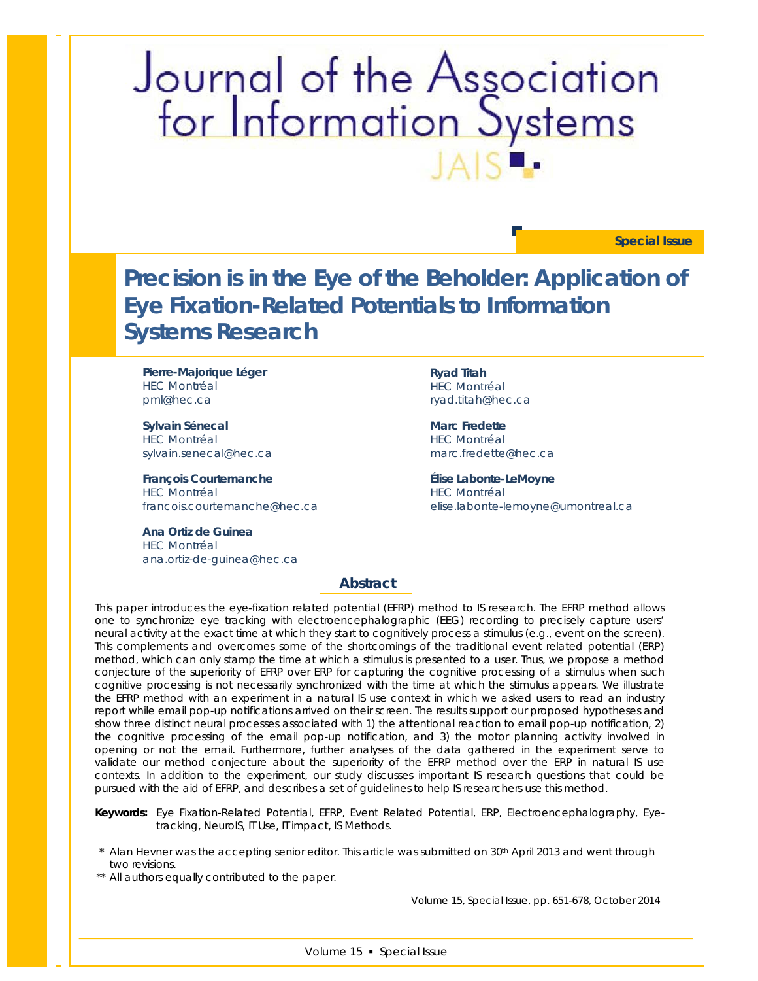# Journal of the Association<br>for Information Systems

**Special Issue**

**Precision is in the Eye of the Beholder: Application of Eye Fixation-Related Potentials to Information Systems Research**

**Pierre-Majorique Léger** HEC Montréal pml@hec.ca

**Sylvain Sénecal**  HEC Montréal sylvain.senecal@hec.ca

**François Courtemanche** HEC Montréal francois.courtemanche@hec.ca

**Ana Ortiz de Guinea** HEC Montréal ana.ortiz-de-guinea@hec.ca **Ryad Titah** HEC Montréal ryad.titah@hec.ca

**Marc Fredette** HEC Montréal marc.fredette@hec.ca

**Élise Labonte-LeMoyne** HEC Montréal elise.labonte-lemoyne@umontreal.ca

#### **Abstract**

*This paper introduces the eye-fixation related potential (EFRP) method to IS research. The EFRP method allows one to synchronize eye tracking with electroencephalographic (EEG) recording to precisely capture users' neural activity at the exact time at which they start to cognitively process a stimulus (e.g., event on the screen). This complements and overcomes some of the shortcomings of the traditional event related potential (ERP) method, which can only stamp the time at which a stimulus is presented to a user. Thus, we propose a method conjecture of the superiority of EFRP over ERP for capturing the cognitive processing of a stimulus when such cognitive processing is not necessarily synchronized with the time at which the stimulus appears. We illustrate the EFRP method with an experiment in a natural IS use context in which we asked users to read an industry report while email pop-up notifications arrived on their screen. The results support our proposed hypotheses and show three distinct neural processes associated with 1) the attentional reaction to email pop-up notification, 2) the cognitive processing of the email pop-up notification, and 3) the motor planning activity involved in opening or not the email. Furthermore, further analyses of the data gathered in the experiment serve to validate our method conjecture about the superiority of the EFRP method over the ERP in natural IS use contexts. In addition to the experiment, our study discusses important IS research questions that could be pursued with the aid of EFRP, and describes a set of guidelines to help IS researchers use this method.*

*Keywords: Eye Fixation-Related Potential, EFRP, Event Related Potential, ERP, Electroencephalography, Eyetracking, NeuroIS, IT Use, IT impact, IS Methods.*

Alan Hevner was the accepting senior editor. This article was submitted on 30<sup>th</sup> April 2013 and went through two revisions.

\*\* All authors equally contributed to the paper.

Volume 15, Special Issue, pp. 651-678, October 2014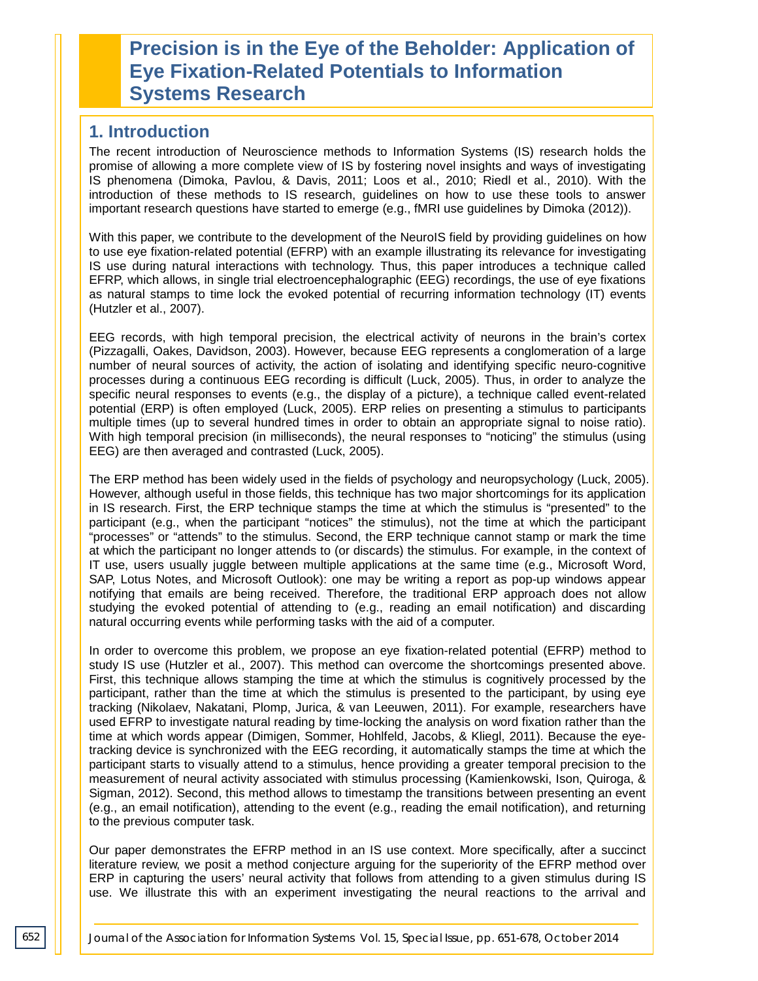# **Precision is in the Eye of the Beholder: Application of Eye Fixation-Related Potentials to Information Systems Research**

## **1. Introduction**

The recent introduction of Neuroscience methods to Information Systems (IS) research holds the promise of allowing a more complete view of IS by fostering novel insights and ways of investigating IS phenomena (Dimoka, Pavlou, & Davis, 2011; Loos et al., 2010; Riedl et al., 2010). With the introduction of these methods to IS research, guidelines on how to use these tools to answer important research questions have started to emerge (e.g., fMRI use guidelines by Dimoka (2012)).

With this paper, we contribute to the development of the NeuroIS field by providing guidelines on how to use eye fixation-related potential (EFRP) with an example illustrating its relevance for investigating IS use during natural interactions with technology. Thus, this paper introduces a technique called EFRP, which allows, in single trial electroencephalographic (EEG) recordings, the use of eye fixations as natural stamps to time lock the evoked potential of recurring information technology (IT) events (Hutzler et al., 2007).

EEG records, with high temporal precision, the electrical activity of neurons in the brain's cortex (Pizzagalli, Oakes, Davidson, 2003). However, because EEG represents a conglomeration of a large number of neural sources of activity, the action of isolating and identifying specific neuro-cognitive processes during a continuous EEG recording is difficult (Luck, 2005). Thus, in order to analyze the specific neural responses to events (e.g., the display of a picture), a technique called event-related potential (ERP) is often employed (Luck, 2005). ERP relies on presenting a stimulus to participants multiple times (up to several hundred times in order to obtain an appropriate signal to noise ratio). With high temporal precision (in milliseconds), the neural responses to "noticing" the stimulus (using EEG) are then averaged and contrasted (Luck, 2005).

The ERP method has been widely used in the fields of psychology and neuropsychology (Luck, 2005). However, although useful in those fields, this technique has two major shortcomings for its application in IS research. First, the ERP technique stamps the time at which the stimulus is "presented" to the participant (e.g., when the participant "notices" the stimulus), not the time at which the participant "processes" or "attends" to the stimulus. Second, the ERP technique cannot stamp or mark the time at which the participant no longer attends to (or discards) the stimulus. For example, in the context of IT use, users usually juggle between multiple applications at the same time (e.g., Microsoft Word, SAP, Lotus Notes, and Microsoft Outlook): one may be writing a report as pop-up windows appear notifying that emails are being received. Therefore, the traditional ERP approach does not allow studying the evoked potential of attending to (e.g., reading an email notification) and discarding natural occurring events while performing tasks with the aid of a computer.

In order to overcome this problem, we propose an eye fixation-related potential (EFRP) method to study IS use (Hutzler et al., 2007). This method can overcome the shortcomings presented above. First, this technique allows stamping the time at which the stimulus is cognitively processed by the participant, rather than the time at which the stimulus is presented to the participant, by using eye tracking (Nikolaev, Nakatani, Plomp, Jurica, & van Leeuwen, 2011). For example, researchers have used EFRP to investigate natural reading by time-locking the analysis on word fixation rather than the time at which words appear (Dimigen, Sommer, Hohlfeld, Jacobs, & Kliegl, 2011). Because the eyetracking device is synchronized with the EEG recording, it automatically stamps the time at which the participant starts to visually attend to a stimulus, hence providing a greater temporal precision to the measurement of neural activity associated with stimulus processing (Kamienkowski, Ison, Quiroga, & Sigman, 2012). Second, this method allows to timestamp the transitions between presenting an event (e.g., an email notification), attending to the event (e.g., reading the email notification), and returning to the previous computer task.

Our paper demonstrates the EFRP method in an IS use context. More specifically, after a succinct literature review, we posit a method conjecture arguing for the superiority of the EFRP method over ERP in capturing the users' neural activity that follows from attending to a given stimulus during IS use. We illustrate this with an experiment investigating the neural reactions to the arrival and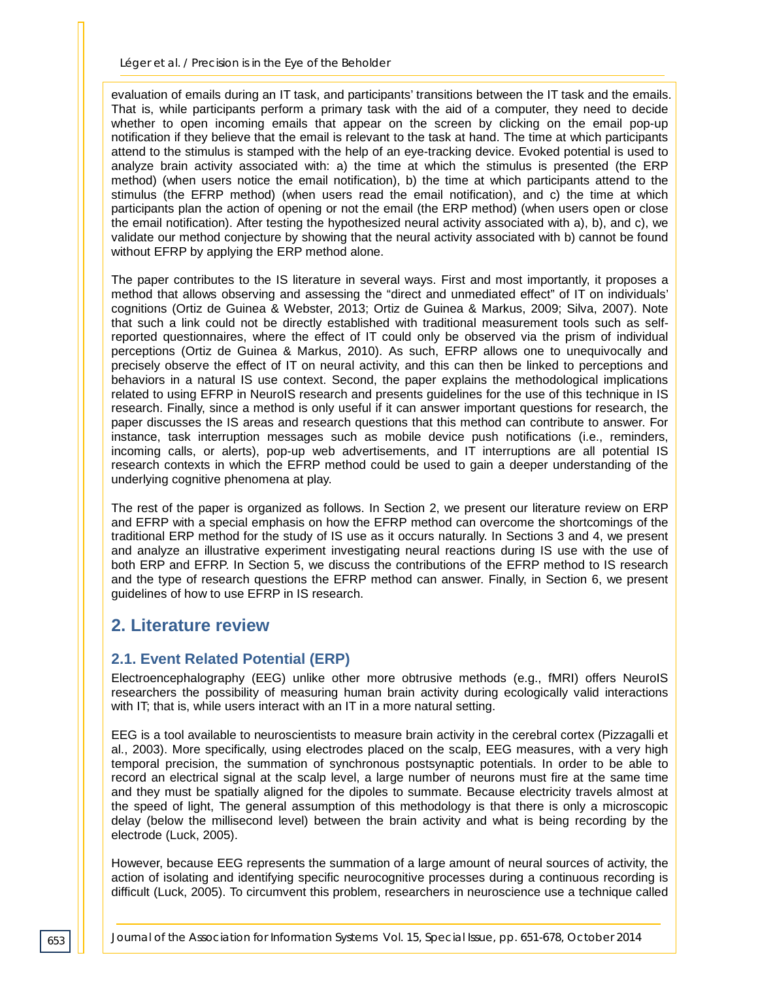evaluation of emails during an IT task, and participants' transitions between the IT task and the emails. That is, while participants perform a primary task with the aid of a computer, they need to decide whether to open incoming emails that appear on the screen by clicking on the email pop-up notification if they believe that the email is relevant to the task at hand. The time at which participants attend to the stimulus is stamped with the help of an eye-tracking device. Evoked potential is used to analyze brain activity associated with: a) the time at which the stimulus is presented (the ERP method) (when users notice the email notification), b) the time at which participants attend to the stimulus (the EFRP method) (when users read the email notification), and c) the time at which participants plan the action of opening or not the email (the ERP method) (when users open or close the email notification). After testing the hypothesized neural activity associated with a), b), and c), we validate our method conjecture by showing that the neural activity associated with b) cannot be found without EFRP by applying the ERP method alone.

The paper contributes to the IS literature in several ways. First and most importantly, it proposes a method that allows observing and assessing the "direct and unmediated effect" of IT on individuals' cognitions (Ortiz de Guinea & Webster, 2013; Ortiz de Guinea & Markus, 2009; Silva, 2007). Note that such a link could not be directly established with traditional measurement tools such as selfreported questionnaires, where the effect of IT could only be observed via the prism of individual perceptions (Ortiz de Guinea & Markus, 2010). As such, EFRP allows one to unequivocally and precisely observe the effect of IT on neural activity, and this can then be linked to perceptions and behaviors in a natural IS use context. Second, the paper explains the methodological implications related to using EFRP in NeuroIS research and presents guidelines for the use of this technique in IS research. Finally, since a method is only useful if it can answer important questions for research, the paper discusses the IS areas and research questions that this method can contribute to answer. For instance, task interruption messages such as mobile device push notifications (i.e., reminders, incoming calls, or alerts), pop-up web advertisements, and IT interruptions are all potential IS research contexts in which the EFRP method could be used to gain a deeper understanding of the underlying cognitive phenomena at play.

The rest of the paper is organized as follows. In Section 2, we present our literature review on ERP and EFRP with a special emphasis on how the EFRP method can overcome the shortcomings of the traditional ERP method for the study of IS use as it occurs naturally. In Sections 3 and 4, we present and analyze an illustrative experiment investigating neural reactions during IS use with the use of both ERP and EFRP. In Section 5, we discuss the contributions of the EFRP method to IS research and the type of research questions the EFRP method can answer. Finally, in Section 6, we present guidelines of how to use EFRP in IS research.

## **2. Literature review**

### **2.1. Event Related Potential (ERP)**

Electroencephalography (EEG) unlike other more obtrusive methods (e.g., fMRI) offers NeuroIS researchers the possibility of measuring human brain activity during ecologically valid interactions with IT; that is, while users interact with an IT in a more natural setting.

EEG is a tool available to neuroscientists to measure brain activity in the cerebral cortex (Pizzagalli et al., 2003). More specifically, using electrodes placed on the scalp, EEG measures, with a very high temporal precision, the summation of synchronous postsynaptic potentials. In order to be able to record an electrical signal at the scalp level, a large number of neurons must fire at the same time and they must be spatially aligned for the dipoles to summate. Because electricity travels almost at the speed of light, The general assumption of this methodology is that there is only a microscopic delay (below the millisecond level) between the brain activity and what is being recording by the electrode (Luck, 2005).

However, because EEG represents the summation of a large amount of neural sources of activity, the action of isolating and identifying specific neurocognitive processes during a continuous recording is difficult (Luck, 2005). To circumvent this problem, researchers in neuroscience use a technique called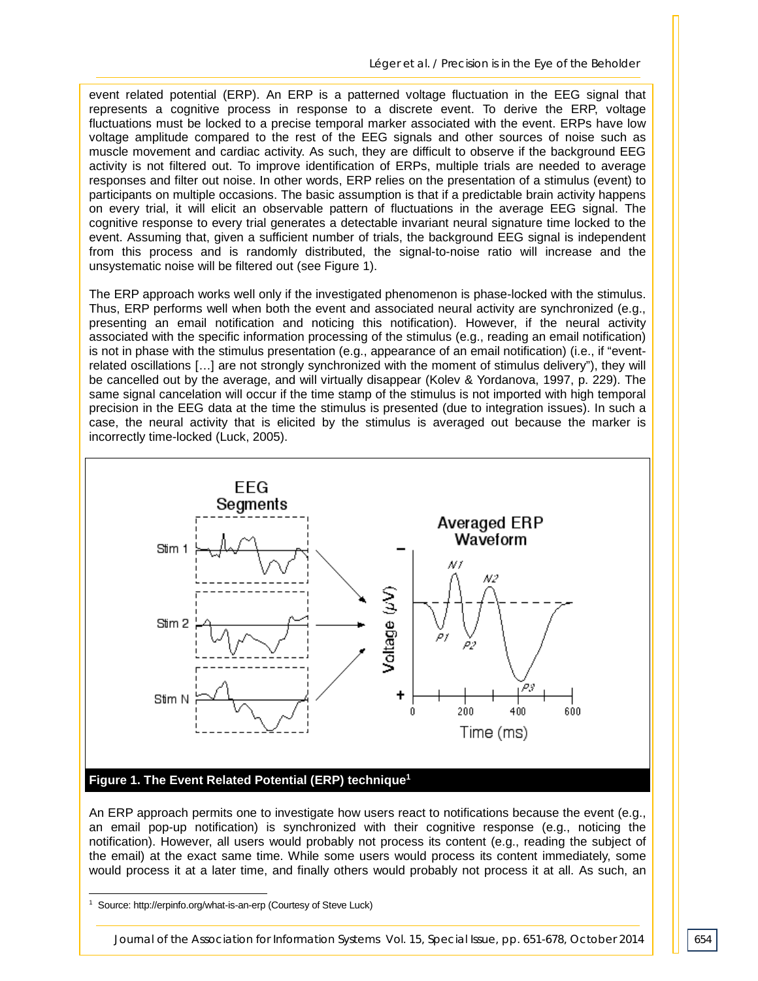event related potential (ERP). An ERP is a patterned voltage fluctuation in the EEG signal that represents a cognitive process in response to a discrete event. To derive the ERP, voltage fluctuations must be locked to a precise temporal marker associated with the event. ERPs have low voltage amplitude compared to the rest of the EEG signals and other sources of noise such as muscle movement and cardiac activity. As such, they are difficult to observe if the background EEG activity is not filtered out. To improve identification of ERPs, multiple trials are needed to average responses and filter out noise. In other words, ERP relies on the presentation of a stimulus (event) to participants on multiple occasions. The basic assumption is that if a predictable brain activity happens on every trial, it will elicit an observable pattern of fluctuations in the average EEG signal. The cognitive response to every trial generates a detectable invariant neural signature time locked to the event. Assuming that, given a sufficient number of trials, the background EEG signal is independent from this process and is randomly distributed, the signal-to-noise ratio will increase and the unsystematic noise will be filtered out (see Figure 1).

The ERP approach works well only if the investigated phenomenon is phase-locked with the stimulus. Thus, ERP performs well when both the event and associated neural activity are synchronized (e.g., presenting an email notification and noticing this notification). However, if the neural activity associated with the specific information processing of the stimulus (e.g., reading an email notification) is not in phase with the stimulus presentation (e.g., appearance of an email notification) (i.e., if "eventrelated oscillations […] are not strongly synchronized with the moment of stimulus delivery"), they will be cancelled out by the average, and will virtually disappear (Kolev & Yordanova, 1997, p. 229). The same signal cancelation will occur if the time stamp of the stimulus is not imported with high temporal precision in the EEG data at the time the stimulus is presented (due to integration issues). In such a case, the neural activity that is elicited by the stimulus is averaged out because the marker is incorrectly time-locked (Luck, 2005).



#### **Figure 1. The Event Related Potential (ERP) technique1**

An ERP approach permits one to investigate how users react to notifications because the event (e.g., an email pop-up notification) is synchronized with their cognitive response (e.g., noticing the notification). However, all users would probably not process its content (e.g., reading the subject of the email) at the exact same time. While some users would process its content immediately, some would process it at a later time, and finally others would probably not process it at all. As such, an

-

<sup>1</sup> Source: http://erpinfo.org/what-is-an-erp (Courtesy of Steve Luck)

*Journal of the Association for Information Systems Vol. 15, Special Issue, pp. 651-678, October 2014* 654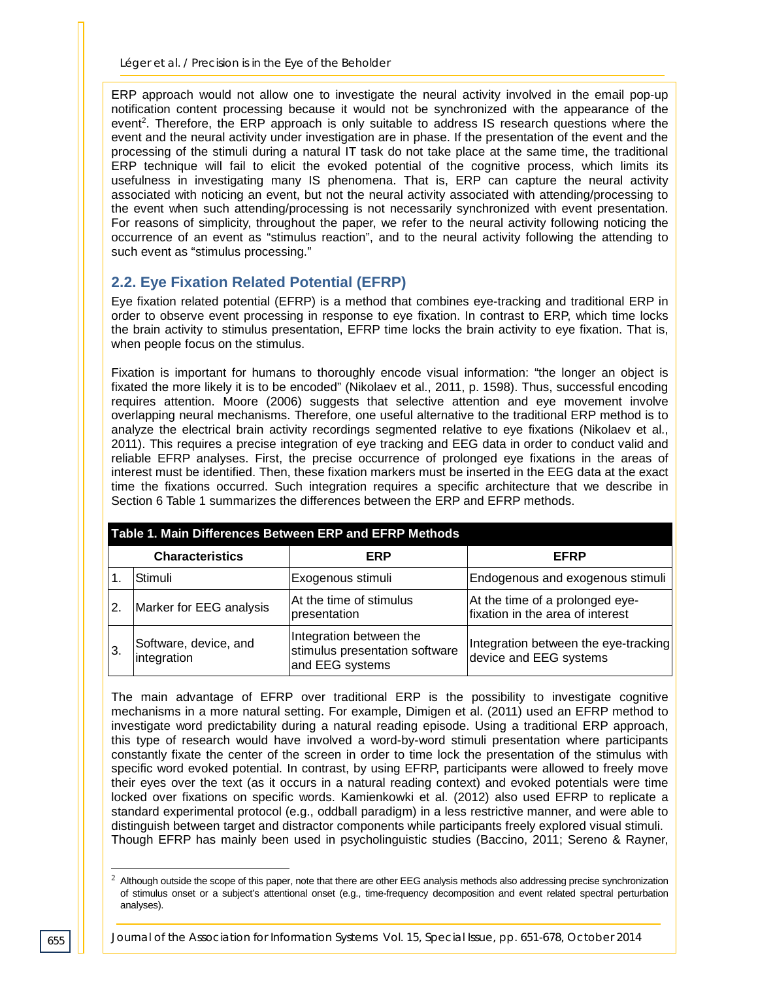ERP approach would not allow one to investigate the neural activity involved in the email pop-up notification content processing because it would not be synchronized with the appearance of the event<sup>2</sup>. Therefore, the ERP approach is only suitable to address IS research questions where the event and the neural activity under investigation are in phase. If the presentation of the event and the processing of the stimuli during a natural IT task do not take place at the same time, the traditional ERP technique will fail to elicit the evoked potential of the cognitive process, which limits its usefulness in investigating many IS phenomena. That is, ERP can capture the neural activity associated with noticing an event, but not the neural activity associated with attending/processing to the event when such attending/processing is not necessarily synchronized with event presentation. For reasons of simplicity, throughout the paper, we refer to the neural activity following noticing the occurrence of an event as "stimulus reaction", and to the neural activity following the attending to such event as "stimulus processing."

#### **2.2. Eye Fixation Related Potential (EFRP)**

Eye fixation related potential (EFRP) is a method that combines eye-tracking and traditional ERP in order to observe event processing in response to eye fixation. In contrast to ERP, which time locks the brain activity to stimulus presentation, EFRP time locks the brain activity to eye fixation. That is, when people focus on the stimulus.

Fixation is important for humans to thoroughly encode visual information: "the longer an object is fixated the more likely it is to be encoded" (Nikolaev et al., 2011, p. 1598). Thus, successful encoding requires attention. Moore (2006) suggests that selective attention and eye movement involve overlapping neural mechanisms. Therefore, one useful alternative to the traditional ERP method is to analyze the electrical brain activity recordings segmented relative to eye fixations (Nikolaev et al., 2011). This requires a precise integration of eye tracking and EEG data in order to conduct valid and reliable EFRP analyses. First, the precise occurrence of prolonged eye fixations in the areas of interest must be identified. Then, these fixation markers must be inserted in the EEG data at the exact time the fixations occurred. Such integration requires a specific architecture that we describe in Section 6 Table 1 summarizes the differences between the ERP and EFRP methods.

| Table 1. Main Differences Between ERP and EFRP Methods |                                      |                                                                              |                                                                     |  |  |  |  |  |
|--------------------------------------------------------|--------------------------------------|------------------------------------------------------------------------------|---------------------------------------------------------------------|--|--|--|--|--|
| <b>Characteristics</b>                                 |                                      | ERP                                                                          | <b>EFRP</b>                                                         |  |  |  |  |  |
|                                                        | Stimuli                              | Exogenous stimuli                                                            | Endogenous and exogenous stimuli                                    |  |  |  |  |  |
| 2.                                                     | Marker for EEG analysis              | At the time of stimulus<br>presentation                                      | At the time of a prolonged eye-<br>fixation in the area of interest |  |  |  |  |  |
| 3.                                                     | Software, device, and<br>integration | Integration between the<br>stimulus presentation software<br>and EEG systems | Integration between the eye-tracking<br>device and EEG systems      |  |  |  |  |  |

The main advantage of EFRP over traditional ERP is the possibility to investigate cognitive mechanisms in a more natural setting. For example, Dimigen et al. (2011) used an EFRP method to investigate word predictability during a natural reading episode. Using a traditional ERP approach, this type of research would have involved a word-by-word stimuli presentation where participants constantly fixate the center of the screen in order to time lock the presentation of the stimulus with specific word evoked potential. In contrast, by using EFRP, participants were allowed to freely move their eyes over the text (as it occurs in a natural reading context) and evoked potentials were time locked over fixations on specific words. Kamienkowki et al. (2012) also used EFRP to replicate a standard experimental protocol (e.g., oddball paradigm) in a less restrictive manner, and were able to distinguish between target and distractor components while participants freely explored visual stimuli. Though EFRP has mainly been used in psycholinguistic studies (Baccino, 2011; Sereno & Rayner,

-

 $<sup>2</sup>$  Although outside the scope of this paper, note that there are other EEG analysis methods also addressing precise synchronization</sup> of stimulus onset or a subject's attentional onset (e.g., time-frequency decomposition and event related spectral perturbation analyses).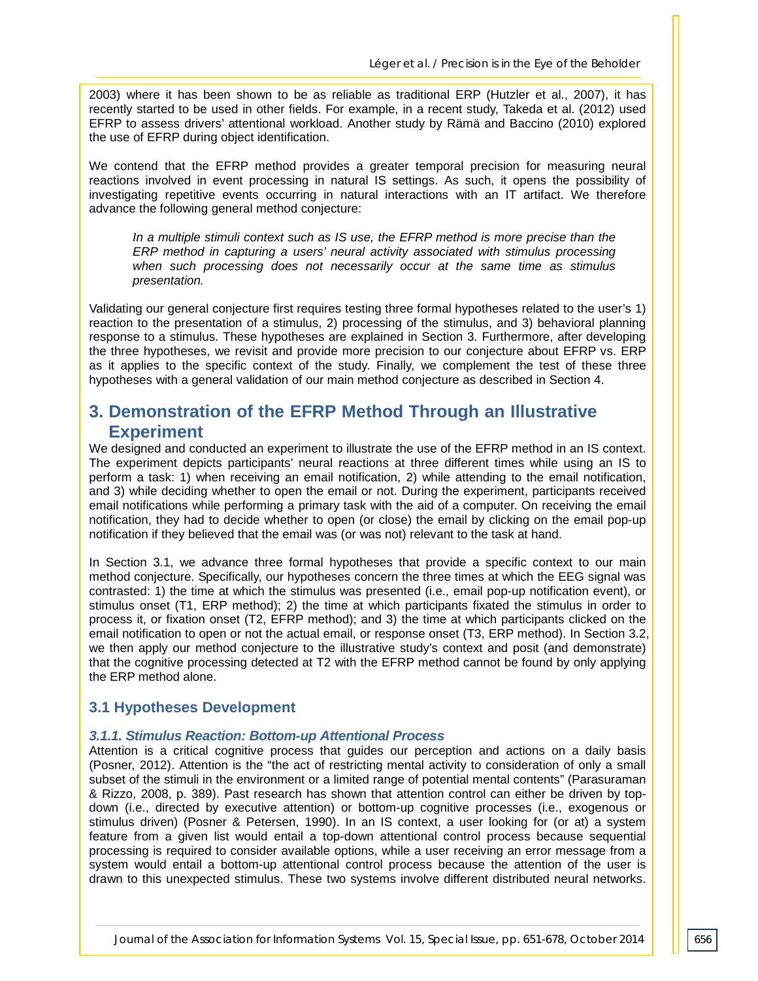2003) where it has been shown to be as reliable as traditional ERP (Hutzler et al., 2007), it has recently started to be used in other fields. For example, in a recent study, Takeda et al. (2012) used EFRP to assess drivers' attentional workload. Another study by Rämä and Baccino (2010) explored the use of EFRP during object identification.

We contend that the EFRP method provides a greater temporal precision for measuring neural reactions involved in event processing in natural IS settings. As such, it opens the possibility of investigating repetitive events occurring in natural interactions with an IT artifact. We therefore advance the following general method conjecture:

*In a multiple stimuli context such as IS use, the EFRP method is more precise than the ERP method in capturing a users' neural activity associated with stimulus processing when such processing does not necessarily occur at the same time as stimulus presentation.*

Validating our general conjecture first requires testing three formal hypotheses related to the user's 1) reaction to the presentation of a stimulus, 2) processing of the stimulus, and 3) behavioral planning response to a stimulus. These hypotheses are explained in Section 3. Furthermore, after developing the three hypotheses, we revisit and provide more precision to our conjecture about EFRP vs. ERP as it applies to the specific context of the study. Finally, we complement the test of these three hypotheses with a general validation of our main method conjecture as described in Section 4.

## **3. Demonstration of the EFRP Method Through an Illustrative Experiment**

We designed and conducted an experiment to illustrate the use of the EFRP method in an IS context. The experiment depicts participants' neural reactions at three different times while using an IS to perform a task: 1) when receiving an email notification, 2) while attending to the email notification, and 3) while deciding whether to open the email or not. During the experiment, participants received email notifications while performing a primary task with the aid of a computer. On receiving the email notification, they had to decide whether to open (or close) the email by clicking on the email pop-up notification if they believed that the email was (or was not) relevant to the task at hand.

In Section 3.1, we advance three formal hypotheses that provide a specific context to our main method conjecture. Specifically, our hypotheses concern the three times at which the EEG signal was contrasted: 1) the time at which the stimulus was presented (i.e., email pop-up notification event), or stimulus onset (T1, ERP method); 2) the time at which participants fixated the stimulus in order to process it, or fixation onset (T2, EFRP method); and 3) the time at which participants clicked on the email notification to open or not the actual email, or response onset (T3, ERP method). In Section 3.2, we then apply our method conjecture to the illustrative study's context and posit (and demonstrate) that the cognitive processing detected at T2 with the EFRP method cannot be found by only applying the ERP method alone.

#### **3.1 Hypotheses Development**

#### *3.1.1. Stimulus Reaction: Bottom-up Attentional Process*

Attention is a critical cognitive process that guides our perception and actions on a daily basis (Posner, 2012). Attention is the "the act of restricting mental activity to consideration of only a small subset of the stimuli in the environment or a limited range of potential mental contents" (Parasuraman & Rizzo, 2008, p. 389). Past research has shown that attention control can either be driven by topdown (i.e., directed by executive attention) or bottom-up cognitive processes (i.e., exogenous or stimulus driven) (Posner & Petersen, 1990). In an IS context, a user looking for (or at) a system feature from a given list would entail a top-down attentional control process because sequential processing is required to consider available options, while a user receiving an error message from a system would entail a bottom-up attentional control process because the attention of the user is drawn to this unexpected stimulus. These two systems involve different distributed neural networks.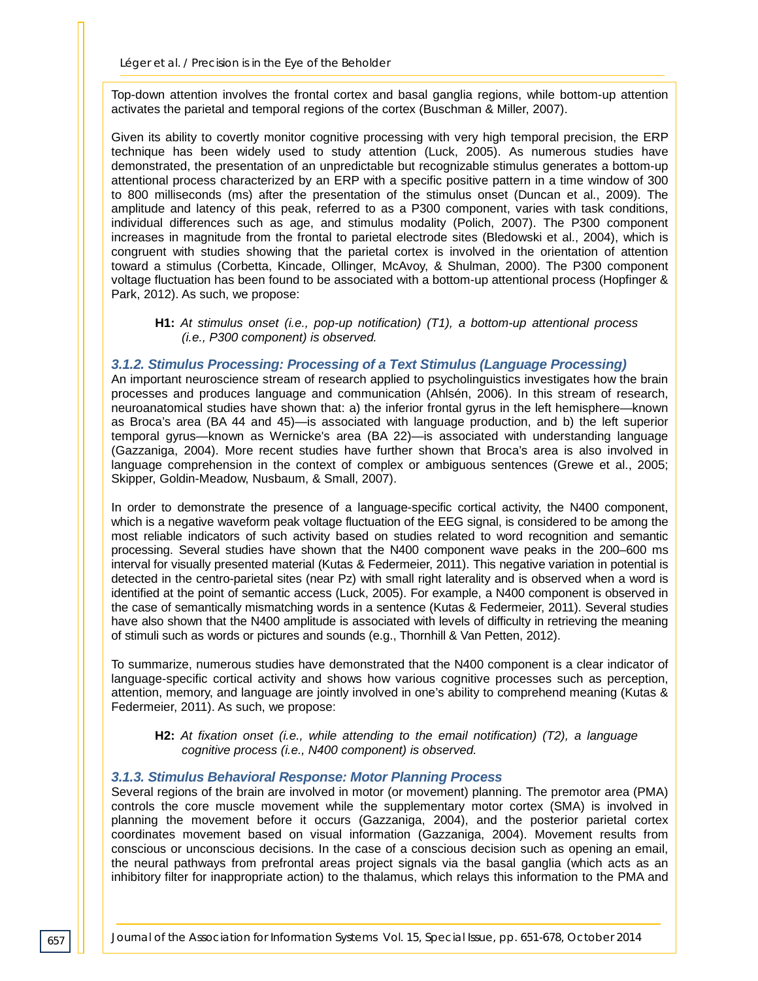Top-down attention involves the frontal cortex and basal ganglia regions, while bottom-up attention activates the parietal and temporal regions of the cortex (Buschman & Miller, 2007).

Given its ability to covertly monitor cognitive processing with very high temporal precision, the ERP technique has been widely used to study attention (Luck, 2005). As numerous studies have demonstrated, the presentation of an unpredictable but recognizable stimulus generates a bottom-up attentional process characterized by an ERP with a specific positive pattern in a time window of 300 to 800 milliseconds (ms) after the presentation of the stimulus onset (Duncan et al., 2009). The amplitude and latency of this peak, referred to as a P300 component, varies with task conditions, individual differences such as age, and stimulus modality (Polich, 2007). The P300 component increases in magnitude from the frontal to parietal electrode sites (Bledowski et al., 2004), which is congruent with studies showing that the parietal cortex is involved in the orientation of attention toward a stimulus (Corbetta, Kincade, Ollinger, McAvoy, & Shulman, 2000). The P300 component voltage fluctuation has been found to be associated with a bottom-up attentional process (Hopfinger & Park, 2012). As such, we propose:

#### **H1:** *At stimulus onset (i.e., pop-up notification) (T1), a bottom-up attentional process (i.e., P300 component) is observed.*

#### *3.1.2. Stimulus Processing: Processing of a Text Stimulus (Language Processing)*

An important neuroscience stream of research applied to psycholinguistics investigates how the brain processes and produces language and communication (Ahlsén, 2006). In this stream of research, neuroanatomical studies have shown that: a) the inferior frontal gyrus in the left hemisphere—known as Broca's area (BA 44 and 45)—is associated with language production, and b) the left superior temporal gyrus—known as Wernicke's area (BA 22)—is associated with understanding language (Gazzaniga, 2004). More recent studies have further shown that Broca's area is also involved in language comprehension in the context of complex or ambiguous sentences (Grewe et al., 2005; Skipper, Goldin-Meadow, Nusbaum, & Small, 2007).

In order to demonstrate the presence of a language-specific cortical activity, the N400 component, which is a negative waveform peak voltage fluctuation of the EEG signal, is considered to be among the most reliable indicators of such activity based on studies related to word recognition and semantic processing. Several studies have shown that the N400 component wave peaks in the 200–600 ms interval for visually presented material (Kutas & Federmeier, 2011). This negative variation in potential is detected in the centro-parietal sites (near Pz) with small right laterality and is observed when a word is identified at the point of semantic access (Luck, 2005). For example, a N400 component is observed in the case of semantically mismatching words in a sentence (Kutas & Federmeier, 2011). Several studies have also shown that the N400 amplitude is associated with levels of difficulty in retrieving the meaning of stimuli such as words or pictures and sounds (e.g., Thornhill & Van Petten, 2012).

To summarize, numerous studies have demonstrated that the N400 component is a clear indicator of language-specific cortical activity and shows how various cognitive processes such as perception, attention, memory, and language are jointly involved in one's ability to comprehend meaning (Kutas & Federmeier, 2011). As such, we propose:

#### **H2:** *At fixation onset (i.e., while attending to the email notification) (T2), a language cognitive process (i.e., N400 component) is observed.*

#### *3.1.3. Stimulus Behavioral Response: Motor Planning Process*

Several regions of the brain are involved in motor (or movement) planning. The premotor area (PMA) controls the core muscle movement while the supplementary motor cortex (SMA) is involved in planning the movement before it occurs (Gazzaniga, 2004), and the posterior parietal cortex coordinates movement based on visual information (Gazzaniga, 2004). Movement results from conscious or unconscious decisions. In the case of a conscious decision such as opening an email, the neural pathways from prefrontal areas project signals via the basal ganglia (which acts as an inhibitory filter for inappropriate action) to the thalamus, which relays this information to the PMA and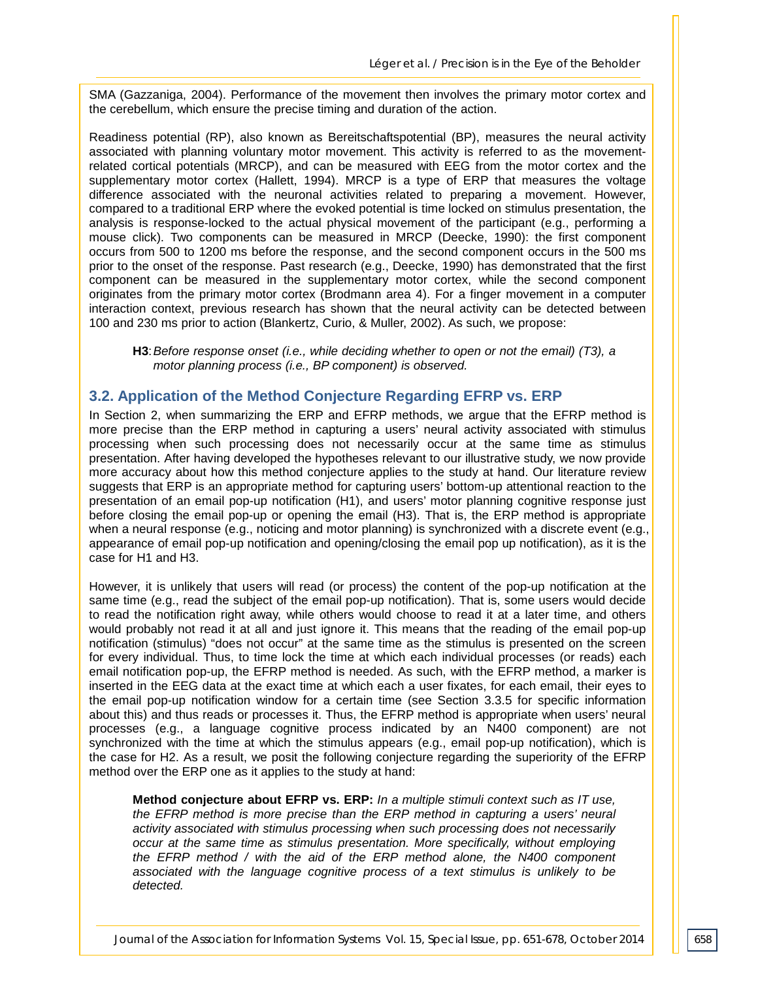SMA (Gazzaniga, 2004). Performance of the movement then involves the primary motor cortex and the cerebellum, which ensure the precise timing and duration of the action.

Readiness potential (RP), also known as Bereitschaftspotential (BP), measures the neural activity associated with planning voluntary motor movement. This activity is referred to as the movementrelated cortical potentials (MRCP), and can be measured with EEG from the motor cortex and the supplementary motor cortex (Hallett, 1994). MRCP is a type of ERP that measures the voltage difference associated with the neuronal activities related to preparing a movement. However, compared to a traditional ERP where the evoked potential is time locked on stimulus presentation, the analysis is response-locked to the actual physical movement of the participant (e.g., performing a mouse click). Two components can be measured in MRCP (Deecke, 1990): the first component occurs from 500 to 1200 ms before the response, and the second component occurs in the 500 ms prior to the onset of the response. Past research (e.g., Deecke, 1990) has demonstrated that the first component can be measured in the supplementary motor cortex, while the second component originates from the primary motor cortex (Brodmann area 4). For a finger movement in a computer interaction context, previous research has shown that the neural activity can be detected between 100 and 230 ms prior to action (Blankertz, Curio, & Muller, 2002). As such, we propose:

**H3**:*Before response onset (i.e., while deciding whether to open or not the email) (T3), a motor planning process (i.e., BP component) is observed.*

#### **3.2. Application of the Method Conjecture Regarding EFRP vs. ERP**

In Section 2, when summarizing the ERP and EFRP methods, we argue that the EFRP method is more precise than the ERP method in capturing a users' neural activity associated with stimulus processing when such processing does not necessarily occur at the same time as stimulus presentation. After having developed the hypotheses relevant to our illustrative study, we now provide more accuracy about how this method conjecture applies to the study at hand. Our literature review suggests that ERP is an appropriate method for capturing users' bottom-up attentional reaction to the presentation of an email pop-up notification (H1), and users' motor planning cognitive response just before closing the email pop-up or opening the email (H3). That is, the ERP method is appropriate when a neural response (e.g., noticing and motor planning) is synchronized with a discrete event (e.g., appearance of email pop-up notification and opening/closing the email pop up notification), as it is the case for H1 and H3.

However, it is unlikely that users will read (or process) the content of the pop-up notification at the same time (e.g., read the subject of the email pop-up notification). That is, some users would decide to read the notification right away, while others would choose to read it at a later time, and others would probably not read it at all and just ignore it. This means that the reading of the email pop-up notification (stimulus) "does not occur" at the same time as the stimulus is presented on the screen for every individual. Thus, to time lock the time at which each individual processes (or reads) each email notification pop-up, the EFRP method is needed. As such, with the EFRP method, a marker is inserted in the EEG data at the exact time at which each a user fixates, for each email, their eyes to the email pop-up notification window for a certain time (see Section 3.3.5 for specific information about this) and thus reads or processes it. Thus, the EFRP method is appropriate when users' neural processes (e.g., a language cognitive process indicated by an N400 component) are not synchronized with the time at which the stimulus appears (e.g., email pop-up notification), which is the case for H2. As a result, we posit the following conjecture regarding the superiority of the EFRP method over the ERP one as it applies to the study at hand:

**Method conjecture about EFRP vs. ERP:** *In a multiple stimuli context such as IT use, the EFRP method is more precise than the ERP method in capturing a users' neural activity associated with stimulus processing when such processing does not necessarily occur at the same time as stimulus presentation. More specifically, without employing the EFRP method / with the aid of the ERP method alone, the N400 component associated with the language cognitive process of a text stimulus is unlikely to be detected.*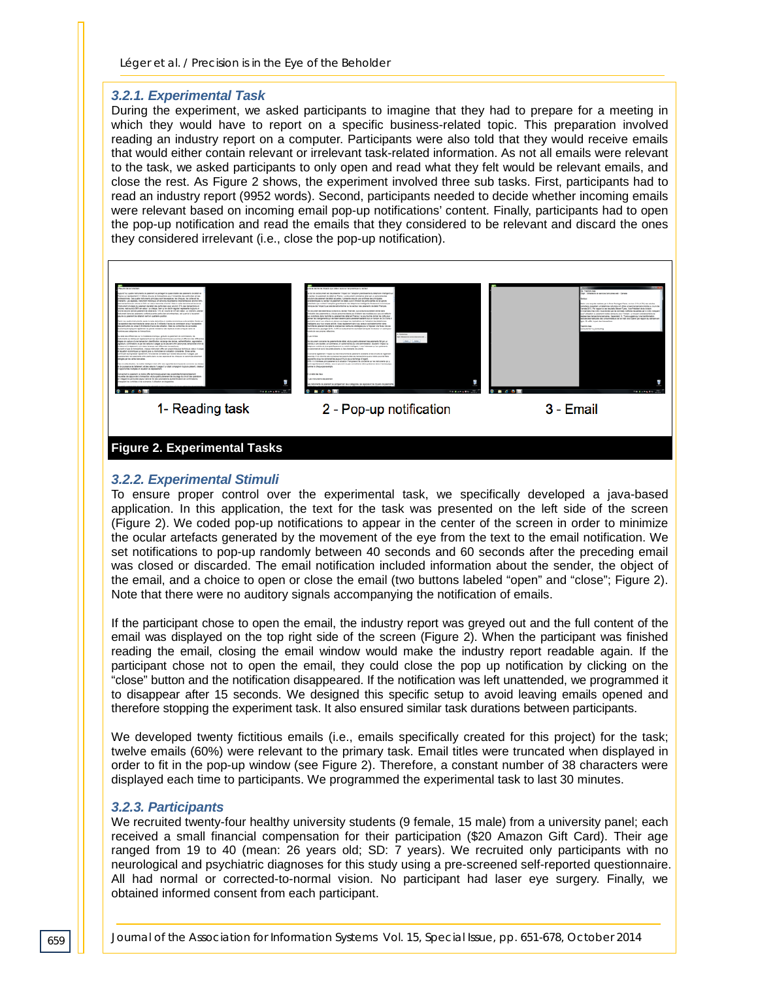#### *3.2.1. Experimental Task*

During the experiment, we asked participants to imagine that they had to prepare for a meeting in which they would have to report on a specific business-related topic. This preparation involved reading an industry report on a computer. Participants were also told that they would receive emails that would either contain relevant or irrelevant task-related information. As not all emails were relevant to the task, we asked participants to only open and read what they felt would be relevant emails, and close the rest. As Figure 2 shows, the experiment involved three sub tasks. First, participants had to read an industry report (9952 words). Second, participants needed to decide whether incoming emails were relevant based on incoming email pop-up notifications' content. Finally, participants had to open the pop-up notification and read the emails that they considered to be relevant and discard the ones they considered irrelevant (i.e., close the pop-up notification).



#### **Figure 2. Experimental Tasks**

#### *3.2.2. Experimental Stimuli*

To ensure proper control over the experimental task, we specifically developed a java-based application. In this application, the text for the task was presented on the left side of the screen (Figure 2). We coded pop-up notifications to appear in the center of the screen in order to minimize the ocular artefacts generated by the movement of the eye from the text to the email notification. We set notifications to pop-up randomly between 40 seconds and 60 seconds after the preceding email was closed or discarded. The email notification included information about the sender, the object of the email, and a choice to open or close the email (two buttons labeled "open" and "close"; Figure 2). Note that there were no auditory signals accompanying the notification of emails.

If the participant chose to open the email, the industry report was greyed out and the full content of the email was displayed on the top right side of the screen (Figure 2). When the participant was finished reading the email, closing the email window would make the industry report readable again. If the participant chose not to open the email, they could close the pop up notification by clicking on the "close" button and the notification disappeared. If the notification was left unattended, we programmed it to disappear after 15 seconds. We designed this specific setup to avoid leaving emails opened and therefore stopping the experiment task. It also ensured similar task durations between participants.

We developed twenty fictitious emails (i.e., emails specifically created for this project) for the task; twelve emails (60%) were relevant to the primary task. Email titles were truncated when displayed in order to fit in the pop-up window (see Figure 2). Therefore, a constant number of 38 characters were displayed each time to participants. We programmed the experimental task to last 30 minutes.

#### *3.2.3. Participants*

We recruited twenty-four healthy university students (9 female, 15 male) from a university panel; each received a small financial compensation for their participation (\$20 Amazon Gift Card). Their age ranged from 19 to 40 (mean: 26 years old; SD: 7 years). We recruited only participants with no neurological and psychiatric diagnoses for this study using a pre-screened self-reported questionnaire. All had normal or corrected-to-normal vision. No participant had laser eye surgery. Finally, we obtained informed consent from each participant.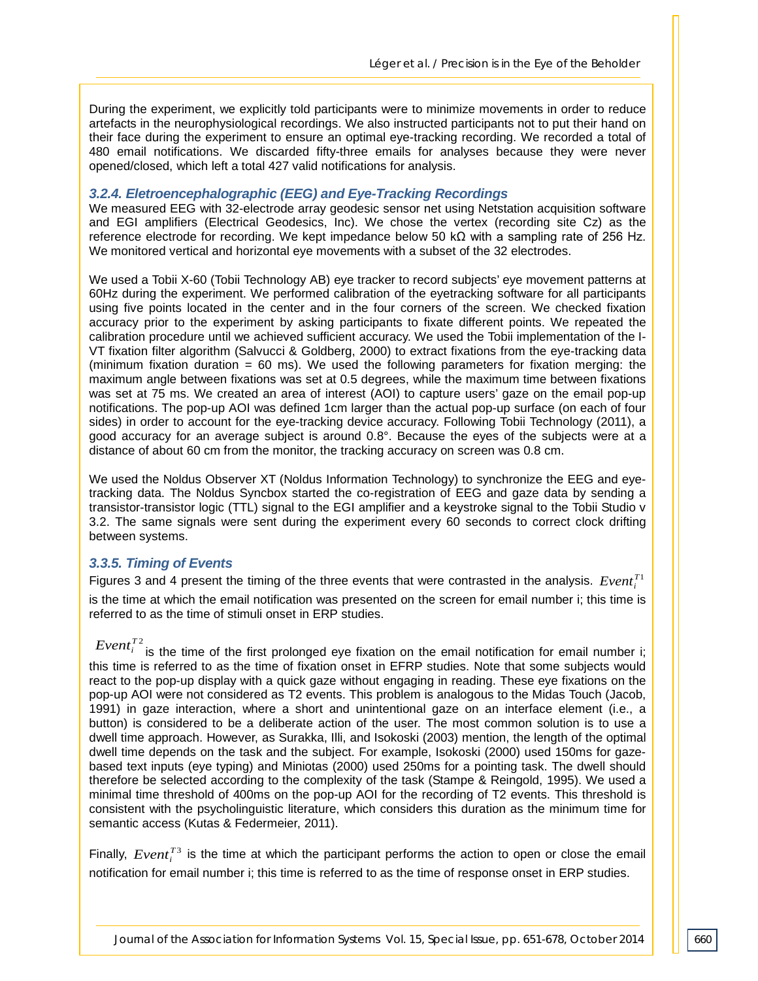During the experiment, we explicitly told participants were to minimize movements in order to reduce artefacts in the neurophysiological recordings. We also instructed participants not to put their hand on their face during the experiment to ensure an optimal eye-tracking recording. We recorded a total of 480 email notifications. We discarded fifty-three emails for analyses because they were never opened/closed, which left a total 427 valid notifications for analysis.

#### *3.2.4. Eletroencephalographic (EEG) and Eye-Tracking Recordings*

We measured EEG with 32-electrode array geodesic sensor net using Netstation acquisition software and EGI amplifiers (Electrical Geodesics, Inc). We chose the vertex (recording site Cz) as the reference electrode for recording. We kept impedance below 50 kΩ with a sampling rate of 256 Hz. We monitored vertical and horizontal eye movements with a subset of the 32 electrodes.

We used a Tobii X-60 (Tobii Technology AB) eye tracker to record subjects' eye movement patterns at 60Hz during the experiment. We performed calibration of the eyetracking software for all participants using five points located in the center and in the four corners of the screen. We checked fixation accuracy prior to the experiment by asking participants to fixate different points. We repeated the calibration procedure until we achieved sufficient accuracy. We used the Tobii implementation of the I-VT fixation filter algorithm (Salvucci & Goldberg, 2000) to extract fixations from the eye-tracking data (minimum fixation duration  $= 60$  ms). We used the following parameters for fixation merging: the maximum angle between fixations was set at 0.5 degrees, while the maximum time between fixations was set at 75 ms. We created an area of interest (AOI) to capture users' gaze on the email pop-up notifications. The pop-up AOI was defined 1cm larger than the actual pop-up surface (on each of four sides) in order to account for the eye-tracking device accuracy. Following Tobii Technology (2011), a good accuracy for an average subject is around 0.8°. Because the eyes of the subjects were at a distance of about 60 cm from the monitor, the tracking accuracy on screen was 0.8 cm.

We used the Noldus Observer XT (Noldus Information Technology) to synchronize the EEG and eyetracking data. The Noldus Syncbox started the co-registration of EEG and gaze data by sending a transistor-transistor logic (TTL) signal to the EGI amplifier and a keystroke signal to the Tobii Studio v 3.2. The same signals were sent during the experiment every 60 seconds to correct clock drifting between systems.

#### *3.3.5. Timing of Events*

Figures 3 and 4 present the timing of the three events that were contrasted in the analysis.  $Event_i^{T_1}$ is the time at which the email notification was presented on the screen for email number i; this time is referred to as the time of stimuli onset in ERP studies.

*Event*<sup> $T^2$ </sup> is the time of the first prolonged eye fixation on the email notification for email number i; this time is referred to as the time of fixation onset in EFRP studies. Note that some subjects would react to the pop-up display with a quick gaze without engaging in reading. These eye fixations on the pop-up AOI were not considered as T2 events. This problem is analogous to the Midas Touch (Jacob, 1991) in gaze interaction, where a short and unintentional gaze on an interface element (i.e., a button) is considered to be a deliberate action of the user. The most common solution is to use a dwell time approach. However, as Surakka, Illi, and Isokoski (2003) mention, the length of the optimal dwell time depends on the task and the subject. For example, Isokoski (2000) used 150ms for gazebased text inputs (eye typing) and Miniotas (2000) used 250ms for a pointing task. The dwell should therefore be selected according to the complexity of the task (Stampe & Reingold, 1995). We used a minimal time threshold of 400ms on the pop-up AOI for the recording of T2 events. This threshold is consistent with the psycholinguistic literature, which considers this duration as the minimum time for semantic access (Kutas & Federmeier, 2011).

Finally,  $Event^{T3}$  is the time at which the participant performs the action to open or close the email notification for email number i; this time is referred to as the time of response onset in ERP studies.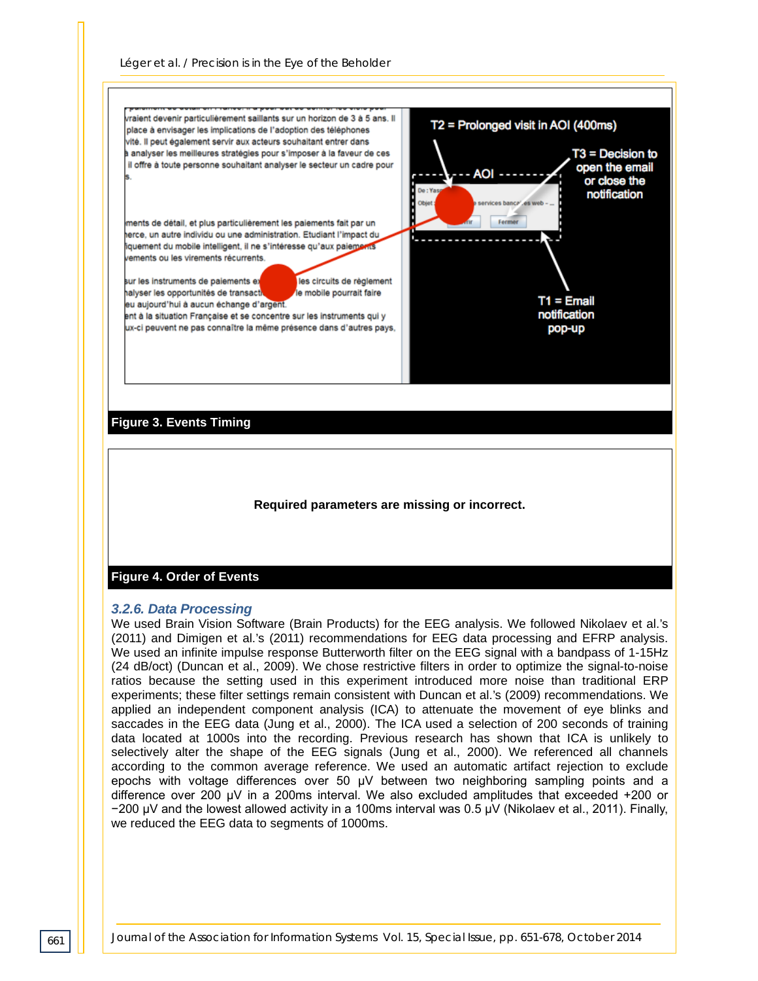

#### **Required parameters are missing or incorrect.**

#### **Figure 4. Order of Events**

#### *3.2.6. Data Processing*

We used Brain Vision Software (Brain Products) for the EEG analysis. We followed Nikolaev et al.'s (2011) and Dimigen et al.'s (2011) recommendations for EEG data processing and EFRP analysis. We used an infinite impulse response Butterworth filter on the EEG signal with a bandpass of 1-15Hz (24 dB/oct) (Duncan et al., 2009). We chose restrictive filters in order to optimize the signal-to-noise ratios because the setting used in this experiment introduced more noise than traditional ERP experiments; these filter settings remain consistent with Duncan et al.'s (2009) recommendations. We applied an independent component analysis (ICA) to attenuate the movement of eye blinks and saccades in the EEG data (Jung et al., 2000). The ICA used a selection of 200 seconds of training data located at 1000s into the recording. Previous research has shown that ICA is unlikely to selectively alter the shape of the EEG signals (Jung et al., 2000). We referenced all channels according to the common average reference. We used an automatic artifact rejection to exclude epochs with voltage differences over 50 μV between two neighboring sampling points and a difference over 200 μV in a 200ms interval. We also excluded amplitudes that exceeded +200 or −200 μV and the lowest allowed activity in a 100ms interval was 0.5 μV (Nikolaev et al., 2011). Finally, we reduced the EEG data to segments of 1000ms.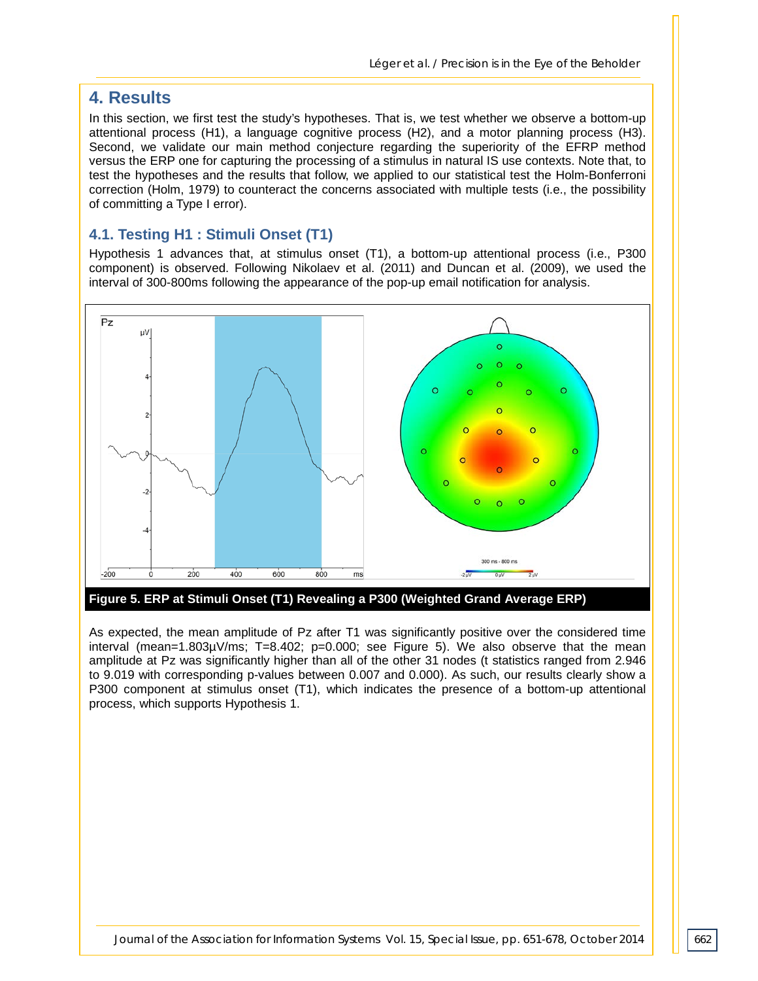## **4. Results**

In this section, we first test the study's hypotheses. That is, we test whether we observe a bottom-up attentional process (H1), a language cognitive process (H2), and a motor planning process (H3). Second, we validate our main method conjecture regarding the superiority of the EFRP method versus the ERP one for capturing the processing of a stimulus in natural IS use contexts. Note that, to test the hypotheses and the results that follow, we applied to our statistical test the Holm-Bonferroni correction (Holm, 1979) to counteract the concerns associated with multiple tests (i.e., the possibility of committing a Type I error).

#### **4.1. Testing H1 : Stimuli Onset (T1)**

Hypothesis 1 advances that, at stimulus onset (T1), a bottom-up attentional process (i.e., P300 component) is observed. Following Nikolaev et al. (2011) and Duncan et al. (2009), we used the interval of 300-800ms following the appearance of the pop-up email notification for analysis.



**Figure 5. ERP at Stimuli Onset (T1) Revealing a P300 (Weighted Grand Average ERP)**

As expected, the mean amplitude of Pz after T1 was significantly positive over the considered time interval (mean=1.803µV/ms; T=8.402; p=0.000; see Figure 5). We also observe that the mean amplitude at Pz was significantly higher than all of the other 31 nodes (t statistics ranged from 2.946 to 9.019 with corresponding p-values between 0.007 and 0.000). As such, our results clearly show a P300 component at stimulus onset (T1), which indicates the presence of a bottom-up attentional process, which supports Hypothesis 1.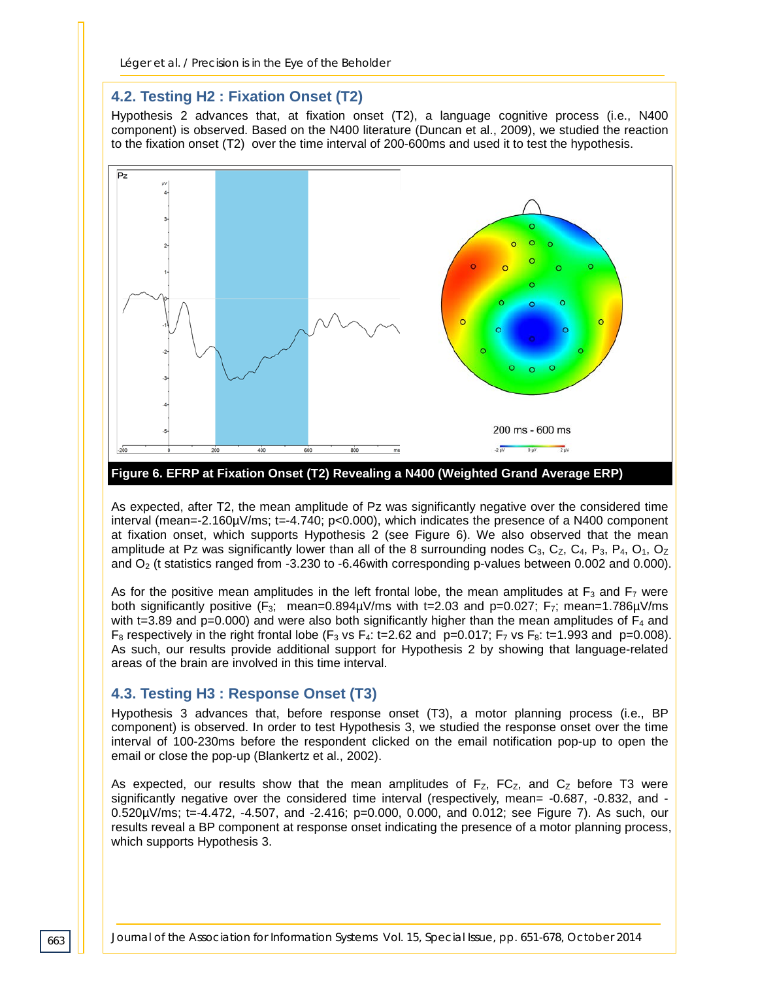#### **4.2. Testing H2 : Fixation Onset (T2)**

Hypothesis 2 advances that, at fixation onset (T2), a language cognitive process (i.e., N400 component) is observed. Based on the N400 literature (Duncan et al., 2009), we studied the reaction to the fixation onset (T2) over the time interval of 200-600ms and used it to test the hypothesis.



As expected, after T2, the mean amplitude of Pz was significantly negative over the considered time interval (mean=-2.160µV/ms; t=-4.740; p<0.000), which indicates the presence of a N400 component at fixation onset, which supports Hypothesis 2 (see Figure 6). We also observed that the mean amplitude at Pz was significantly lower than all of the 8 surrounding nodes  $C_3$ ,  $C_2$ ,  $C_4$ ,  $P_3$ ,  $P_4$ ,  $O_1$ ,  $O_2$ and  $O<sub>2</sub>$  (t statistics ranged from -3.230 to -6.46with corresponding p-values between 0.002 and 0.000).

As for the positive mean amplitudes in the left frontal lobe, the mean amplitudes at  $F_3$  and  $F_7$  were both significantly positive (F<sub>3</sub>; mean=0.894 $\mu$ V/ms with t=2.03 and p=0.027; F<sub>7</sub>; mean=1.786 $\mu$ V/ms with t=3.89 and  $p=0.000$ ) and were also both significantly higher than the mean amplitudes of  $F_4$  and  $F_8$  respectively in the right frontal lobe ( $F_3$  vs  $F_4$ : t=2.62 and p=0.017;  $F_7$  vs  $F_8$ : t=1.993 and p=0.008). As such, our results provide additional support for Hypothesis 2 by showing that language-related areas of the brain are involved in this time interval.

#### **4.3. Testing H3 : Response Onset (T3)**

Hypothesis 3 advances that, before response onset (T3), a motor planning process (i.e., BP component) is observed. In order to test Hypothesis 3, we studied the response onset over the time interval of 100-230ms before the respondent clicked on the email notification pop-up to open the email or close the pop-up (Blankertz et al., 2002).

As expected, our results show that the mean amplitudes of  $F<sub>Z</sub>$ ,  $FC<sub>Z</sub>$ , and  $C<sub>Z</sub>$  before T3 were significantly negative over the considered time interval (respectively, mean= -0.687, -0.832, and - 0.520µV/ms; t=-4.472, -4.507, and -2.416; p=0.000, 0.000, and 0.012; see Figure 7). As such, our results reveal a BP component at response onset indicating the presence of a motor planning process, which supports Hypothesis 3.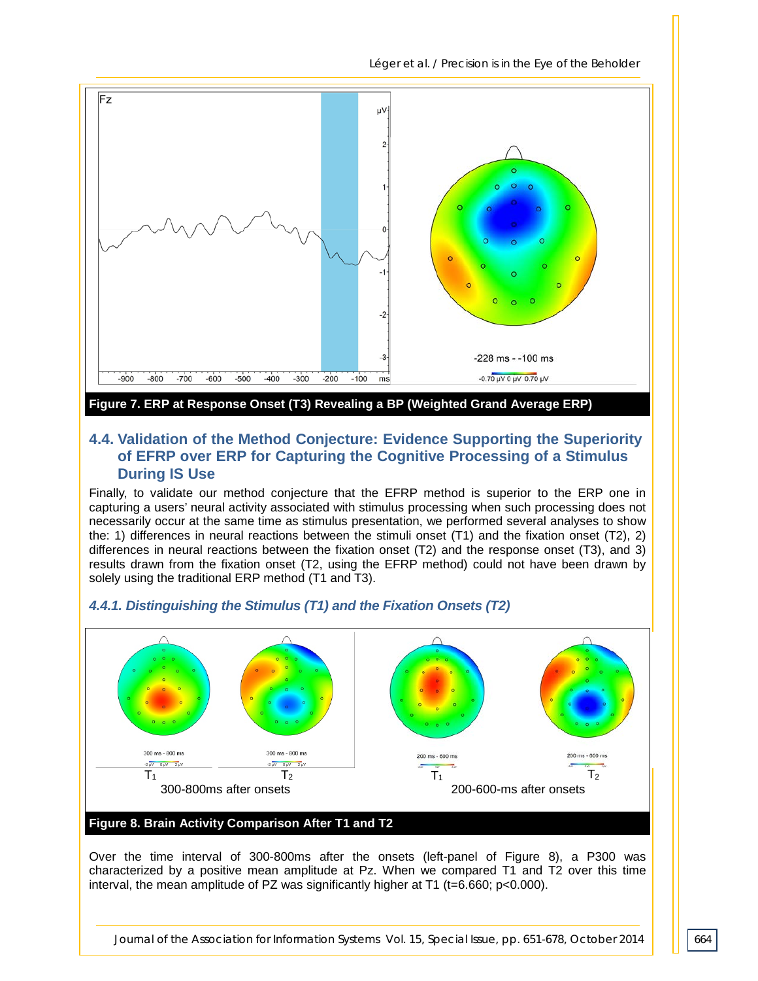*Léger et al. / Precision is in the Eye of the Beholder*



**Figure 7. ERP at Response Onset (T3) Revealing a BP (Weighted Grand Average ERP)**

#### **4.4. Validation of the Method Conjecture: Evidence Supporting the Superiority of EFRP over ERP for Capturing the Cognitive Processing of a Stimulus During IS Use**

Finally, to validate our method conjecture that the EFRP method is superior to the ERP one in capturing a users' neural activity associated with stimulus processing when such processing does not necessarily occur at the same time as stimulus presentation, we performed several analyses to show the: 1) differences in neural reactions between the stimuli onset (T1) and the fixation onset (T2), 2) differences in neural reactions between the fixation onset (T2) and the response onset (T3), and 3) results drawn from the fixation onset (T2, using the EFRP method) could not have been drawn by solely using the traditional ERP method (T1 and T3).

#### *4.4.1. Distinguishing the Stimulus (T1) and the Fixation Onsets (T2)*



#### **Figure 8. Brain Activity Comparison After T1 and T2**

Over the time interval of 300-800ms after the onsets (left-panel of Figure 8), a P300 was characterized by a positive mean amplitude at Pz. When we compared T1 and T2 over this time interval, the mean amplitude of PZ was significantly higher at T1 (t=6.660; p<0.000).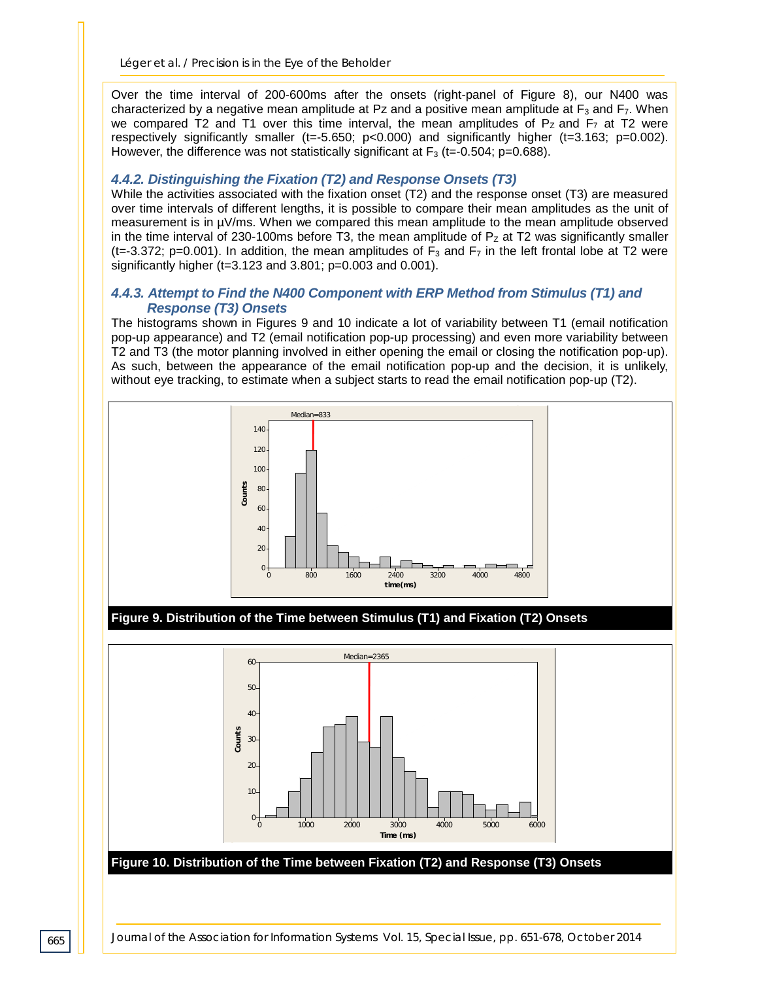Over the time interval of 200-600ms after the onsets (right-panel of Figure 8), our N400 was characterized by a negative mean amplitude at Pz and a positive mean amplitude at  $F_3$  and  $F_7$ . When we compared T2 and T1 over this time interval, the mean amplitudes of  $P<sub>Z</sub>$  and  $F<sub>7</sub>$  at T2 were respectively significantly smaller (t=-5.650; p<0.000) and significantly higher (t=3.163; p=0.002). However, the difference was not statistically significant at  $F_3$  (t=-0.504; p=0.688).

#### *4.4.2. Distinguishing the Fixation (T2) and Response Onsets (T3)*

While the activities associated with the fixation onset (T2) and the response onset (T3) are measured over time intervals of different lengths, it is possible to compare their mean amplitudes as the unit of measurement is in µV/ms. When we compared this mean amplitude to the mean amplitude observed in the time interval of 230-100ms before T3, the mean amplitude of  $P<sub>Z</sub>$  at T2 was significantly smaller (t=-3.372; p=0.001). In addition, the mean amplitudes of  $F_3$  and  $F_7$  in the left frontal lobe at T2 were significantly higher (t=3.123 and 3.801; p=0.003 and 0.001).

#### *4.4.3. Attempt to Find the N400 Component with ERP Method from Stimulus (T1) and Response (T3) Onsets*

The histograms shown in Figures 9 and 10 indicate a lot of variability between T1 (email notification pop-up appearance) and T2 (email notification pop-up processing) and even more variability between T2 and T3 (the motor planning involved in either opening the email or closing the notification pop-up). As such, between the appearance of the email notification pop-up and the decision, it is unlikely, without eye tracking, to estimate when a subject starts to read the email notification pop-up (T2).



#### **Figure 9. Distribution of the Time between Stimulus (T1) and Fixation (T2) Onsets**

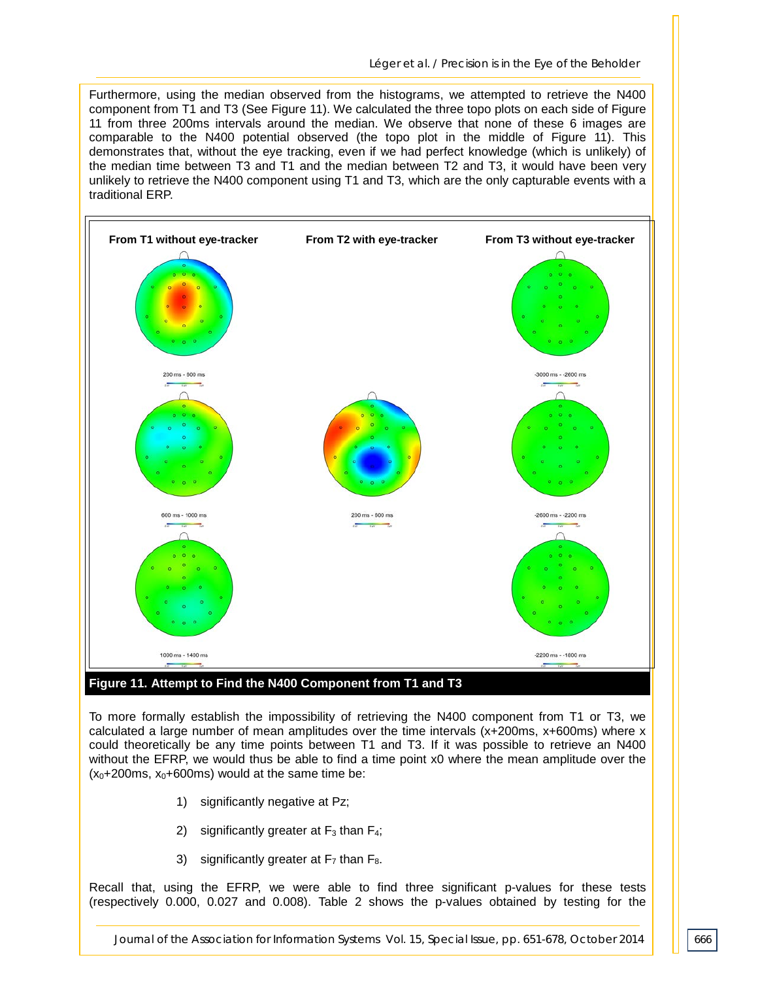Furthermore, using the median observed from the histograms, we attempted to retrieve the N400 component from T1 and T3 (See Figure 11). We calculated the three topo plots on each side of Figure 11 from three 200ms intervals around the median. We observe that none of these 6 images are comparable to the N400 potential observed (the topo plot in the middle of Figure 11). This demonstrates that, without the eye tracking, even if we had perfect knowledge (which is unlikely) of the median time between T3 and T1 and the median between T2 and T3, it would have been very unlikely to retrieve the N400 component using T1 and T3, which are the only capturable events with a traditional ERP.

![](_page_17_Figure_2.jpeg)

#### **Figure 11. Attempt to Find the N400 Component from T1 and T3**

To more formally establish the impossibility of retrieving the N400 component from T1 or T3, we calculated a large number of mean amplitudes over the time intervals (x+200ms, x+600ms) where x could theoretically be any time points between T1 and T3. If it was possible to retrieve an N400 without the EFRP, we would thus be able to find a time point x0 where the mean amplitude over the  $(x_0+200$ ms,  $x_0+600$ ms) would at the same time be:

- 1) significantly negative at Pz;
- 2) significantly greater at  $F_3$  than  $F_4$ ;
- 3) significantly greater at  $F_7$  than  $F_8$ .

Recall that, using the EFRP, we were able to find three significant p-values for these tests (respectively 0.000, 0.027 and 0.008). Table 2 shows the p-values obtained by testing for the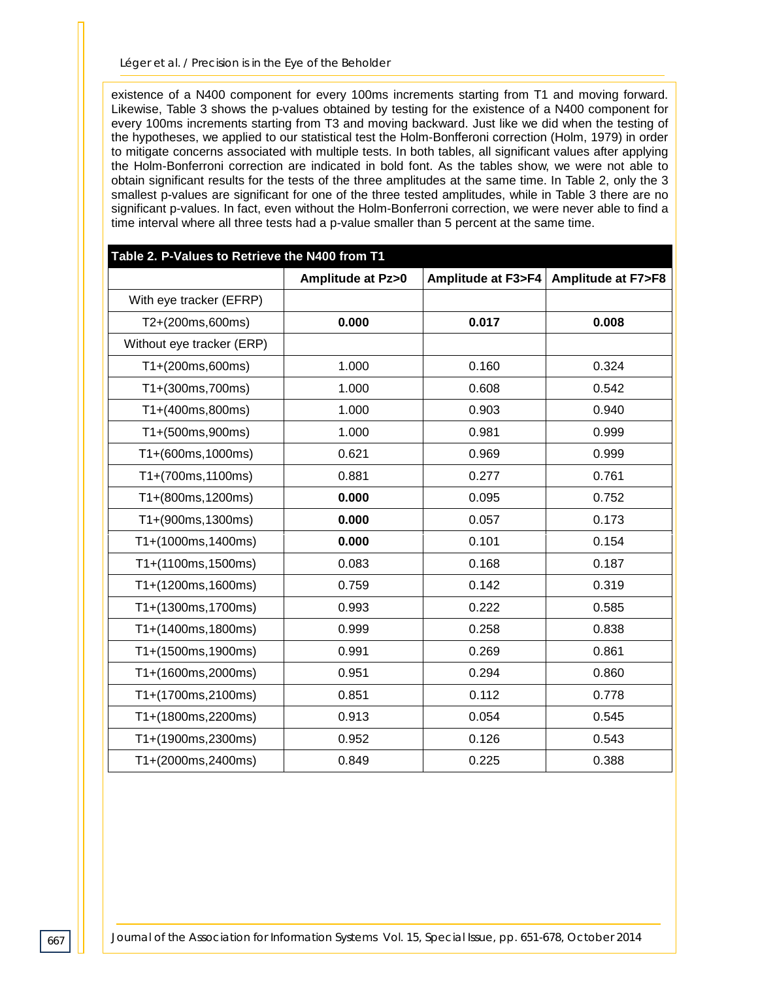existence of a N400 component for every 100ms increments starting from T1 and moving forward. Likewise, Table 3 shows the p-values obtained by testing for the existence of a N400 component for every 100ms increments starting from T3 and moving backward. Just like we did when the testing of the hypotheses, we applied to our statistical test the Holm-Bonfferoni correction (Holm, 1979) in order to mitigate concerns associated with multiple tests. In both tables, all significant values after applying the Holm-Bonferroni correction are indicated in bold font. As the tables show, we were not able to obtain significant results for the tests of the three amplitudes at the same time. In Table 2, only the 3 smallest p-values are significant for one of the three tested amplitudes, while in Table 3 there are no significant p-values. In fact, even without the Holm-Bonferroni correction, we were never able to find a time interval where all three tests had a p-value smaller than 5 percent at the same time.

| Table 2. P-Values to Retrieve the N400 from T1 |                             |                              |                              |  |
|------------------------------------------------|-----------------------------|------------------------------|------------------------------|--|
|                                                | <b>Amplitude at Pz&gt;0</b> | <b>Amplitude at F3&gt;F4</b> | <b>Amplitude at F7&gt;F8</b> |  |
| With eye tracker (EFRP)                        |                             |                              |                              |  |
| T2+(200ms,600ms)                               | 0.000                       | 0.017                        | 0.008                        |  |
| Without eye tracker (ERP)                      |                             |                              |                              |  |
| T1+(200ms,600ms)                               | 1.000                       | 0.160                        | 0.324                        |  |
| T1+(300ms,700ms)                               | 1.000                       | 0.608                        | 0.542                        |  |
| T1+(400ms,800ms)                               | 1.000                       | 0.903                        | 0.940                        |  |
| T1+(500ms,900ms)                               | 1.000                       | 0.981                        | 0.999                        |  |
| T1+(600ms,1000ms)                              | 0.621                       | 0.969                        | 0.999                        |  |
| T1+(700ms,1100ms)                              | 0.881                       | 0.277                        | 0.761                        |  |
| T1+(800ms,1200ms)                              | 0.000                       | 0.095                        | 0.752                        |  |
| T1+(900ms,1300ms)                              | 0.000                       | 0.057                        | 0.173                        |  |
| T1+(1000ms,1400ms)                             | 0.000                       | 0.101                        | 0.154                        |  |
| T1+(1100ms, 1500ms)                            | 0.083                       | 0.168                        | 0.187                        |  |
| T1+(1200ms,1600ms)                             | 0.759                       | 0.142                        | 0.319                        |  |
| T1+(1300ms,1700ms)                             | 0.993                       | 0.222                        | 0.585                        |  |
| T1+(1400ms,1800ms)                             | 0.999                       | 0.258                        | 0.838                        |  |
| T1+(1500ms,1900ms)                             | 0.991                       | 0.269                        | 0.861                        |  |
| T1+(1600ms,2000ms)                             | 0.951                       | 0.294                        | 0.860                        |  |
| T1+(1700ms,2100ms)                             | 0.851                       | 0.112                        | 0.778                        |  |
| T1+(1800ms,2200ms)                             | 0.913                       | 0.054                        | 0.545                        |  |
| T1+(1900ms,2300ms)                             | 0.952                       | 0.126                        | 0.543                        |  |
| T1+(2000ms,2400ms)                             | 0.849                       | 0.225                        | 0.388                        |  |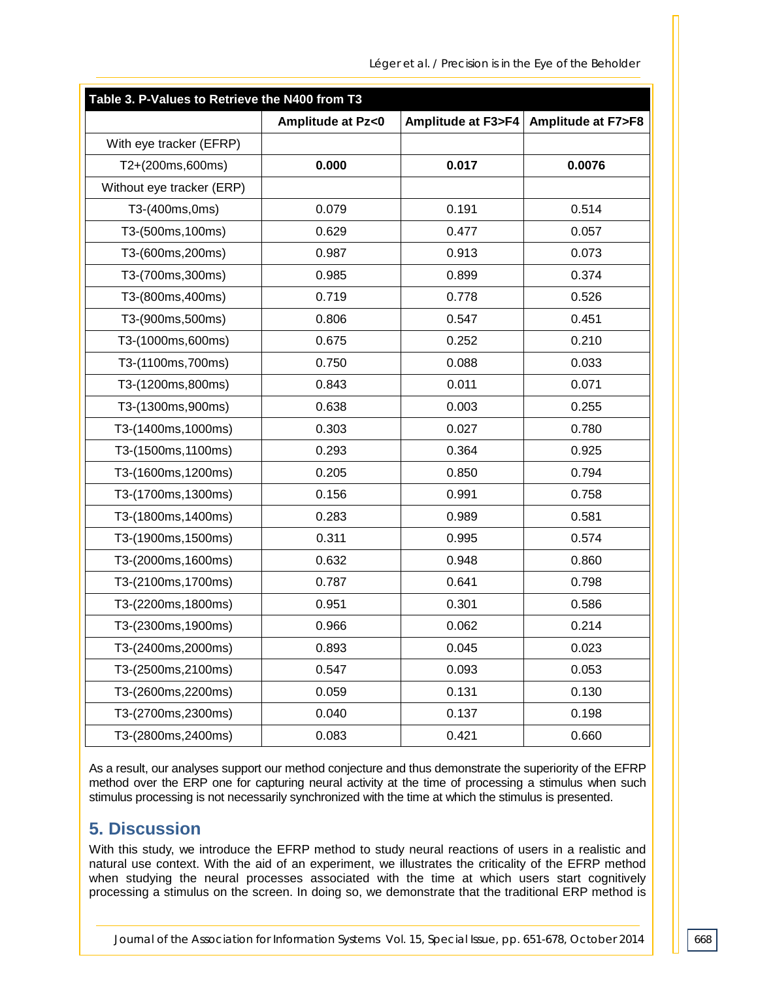| Table 3. P-Values to Retrieve the N400 from T3 |                             |                              |                              |  |
|------------------------------------------------|-----------------------------|------------------------------|------------------------------|--|
|                                                | <b>Amplitude at Pz&lt;0</b> | <b>Amplitude at F3&gt;F4</b> | <b>Amplitude at F7&gt;F8</b> |  |
| With eye tracker (EFRP)                        |                             |                              |                              |  |
| T2+(200ms,600ms)                               | 0.000                       | 0.017                        | 0.0076                       |  |
| Without eye tracker (ERP)                      |                             |                              |                              |  |
| T3-(400ms,0ms)                                 | 0.079                       | 0.191                        | 0.514                        |  |
| T3-(500ms, 100ms)                              | 0.629                       | 0.477                        | 0.057                        |  |
| T3-(600ms, 200ms)                              | 0.987                       | 0.913                        | 0.073                        |  |
| T3-(700ms, 300ms)                              | 0.985                       | 0.899                        | 0.374                        |  |
| T3-(800ms, 400ms)                              | 0.719                       | 0.778                        | 0.526                        |  |
| T3-(900ms,500ms)                               | 0.806                       | 0.547                        | 0.451                        |  |
| T3-(1000ms,600ms)                              | 0.675                       | 0.252                        | 0.210                        |  |
| T3-(1100ms, 700ms)                             | 0.750                       | 0.088                        | 0.033                        |  |
| T3-(1200ms,800ms)                              | 0.843                       | 0.011                        | 0.071                        |  |
| T3-(1300ms,900ms)                              | 0.638                       | 0.003                        | 0.255                        |  |
| T3-(1400ms, 1000ms)                            | 0.303                       | 0.027                        | 0.780                        |  |
| T3-(1500ms, 1100ms)                            | 0.293                       | 0.364                        | 0.925                        |  |
| T3-(1600ms, 1200ms)                            | 0.205                       | 0.850                        | 0.794                        |  |
| T3-(1700ms, 1300ms)                            | 0.156                       | 0.991                        | 0.758                        |  |
| T3-(1800ms, 1400ms)                            | 0.283                       | 0.989                        | 0.581                        |  |
| T3-(1900ms, 1500ms)                            | 0.311                       | 0.995                        | 0.574                        |  |
| T3-(2000ms, 1600ms)                            | 0.632                       | 0.948                        | 0.860                        |  |
| T3-(2100ms, 1700ms)                            | 0.787                       | 0.641                        | 0.798                        |  |
| T3-(2200ms, 1800ms)                            | 0.951                       | 0.301                        | 0.586                        |  |
| T3-(2300ms, 1900ms)                            | 0.966                       | 0.062                        | 0.214                        |  |
| T3-(2400ms, 2000ms)                            | 0.893                       | 0.045                        | 0.023                        |  |
| T3-(2500ms, 2100ms)                            | 0.547                       | 0.093                        | 0.053                        |  |
| T3-(2600ms, 2200ms)                            | 0.059                       | 0.131                        | 0.130                        |  |
| T3-(2700ms, 2300ms)                            | 0.040                       | 0.137                        | 0.198                        |  |
| T3-(2800ms, 2400ms)                            | 0.083                       | 0.421                        | 0.660                        |  |

As a result, our analyses support our method conjecture and thus demonstrate the superiority of the EFRP method over the ERP one for capturing neural activity at the time of processing a stimulus when such stimulus processing is not necessarily synchronized with the time at which the stimulus is presented.

## **5. Discussion**

With this study, we introduce the EFRP method to study neural reactions of users in a realistic and natural use context. With the aid of an experiment, we illustrates the criticality of the EFRP method when studying the neural processes associated with the time at which users start cognitively processing a stimulus on the screen. In doing so, we demonstrate that the traditional ERP method is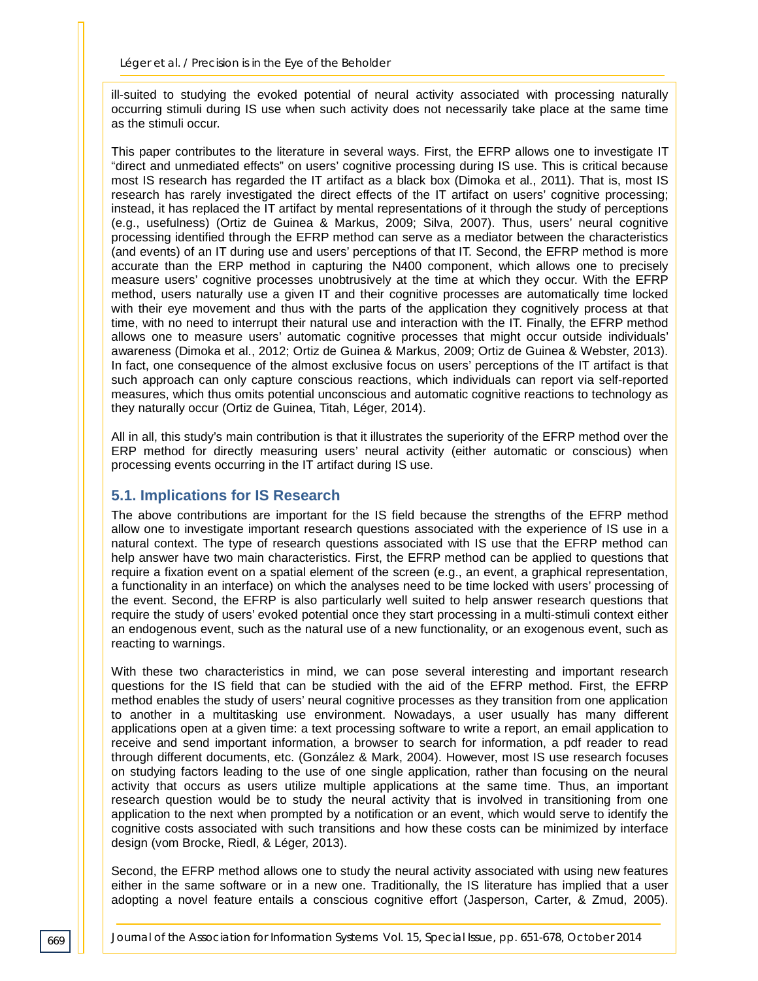ill-suited to studying the evoked potential of neural activity associated with processing naturally occurring stimuli during IS use when such activity does not necessarily take place at the same time as the stimuli occur.

This paper contributes to the literature in several ways. First, the EFRP allows one to investigate IT "direct and unmediated effects" on users' cognitive processing during IS use. This is critical because most IS research has regarded the IT artifact as a black box (Dimoka et al., 2011). That is, most IS research has rarely investigated the direct effects of the IT artifact on users' cognitive processing; instead, it has replaced the IT artifact by mental representations of it through the study of perceptions (e.g., usefulness) (Ortiz de Guinea & Markus, 2009; Silva, 2007). Thus, users' neural cognitive processing identified through the EFRP method can serve as a mediator between the characteristics (and events) of an IT during use and users' perceptions of that IT. Second, the EFRP method is more accurate than the ERP method in capturing the N400 component, which allows one to precisely measure users' cognitive processes unobtrusively at the time at which they occur. With the EFRP method, users naturally use a given IT and their cognitive processes are automatically time locked with their eye movement and thus with the parts of the application they cognitively process at that time, with no need to interrupt their natural use and interaction with the IT. Finally, the EFRP method allows one to measure users' automatic cognitive processes that might occur outside individuals' awareness (Dimoka et al., 2012; Ortiz de Guinea & Markus, 2009; Ortiz de Guinea & Webster, 2013). In fact, one consequence of the almost exclusive focus on users' perceptions of the IT artifact is that such approach can only capture conscious reactions, which individuals can report via self-reported measures, which thus omits potential unconscious and automatic cognitive reactions to technology as they naturally occur (Ortiz de Guinea, Titah, Léger, 2014).

All in all, this study's main contribution is that it illustrates the superiority of the EFRP method over the ERP method for directly measuring users' neural activity (either automatic or conscious) when processing events occurring in the IT artifact during IS use.

#### **5.1. Implications for IS Research**

The above contributions are important for the IS field because the strengths of the EFRP method allow one to investigate important research questions associated with the experience of IS use in a natural context. The type of research questions associated with IS use that the EFRP method can help answer have two main characteristics. First, the EFRP method can be applied to questions that require a fixation event on a spatial element of the screen (e.g., an event, a graphical representation, a functionality in an interface) on which the analyses need to be time locked with users' processing of the event. Second, the EFRP is also particularly well suited to help answer research questions that require the study of users' evoked potential once they start processing in a multi-stimuli context either an endogenous event, such as the natural use of a new functionality, or an exogenous event, such as reacting to warnings.

With these two characteristics in mind, we can pose several interesting and important research questions for the IS field that can be studied with the aid of the EFRP method. First, the EFRP method enables the study of users' neural cognitive processes as they transition from one application to another in a multitasking use environment. Nowadays, a user usually has many different applications open at a given time: a text processing software to write a report, an email application to receive and send important information, a browser to search for information, a pdf reader to read through different documents, etc. (González & Mark, 2004). However, most IS use research focuses on studying factors leading to the use of one single application, rather than focusing on the neural activity that occurs as users utilize multiple applications at the same time. Thus, an important research question would be to study the neural activity that is involved in transitioning from one application to the next when prompted by a notification or an event, which would serve to identify the cognitive costs associated with such transitions and how these costs can be minimized by interface design (vom Brocke, Riedl, & Léger, 2013).

Second, the EFRP method allows one to study the neural activity associated with using new features either in the same software or in a new one. Traditionally, the IS literature has implied that a user adopting a novel feature entails a conscious cognitive effort (Jasperson, Carter, & Zmud, 2005).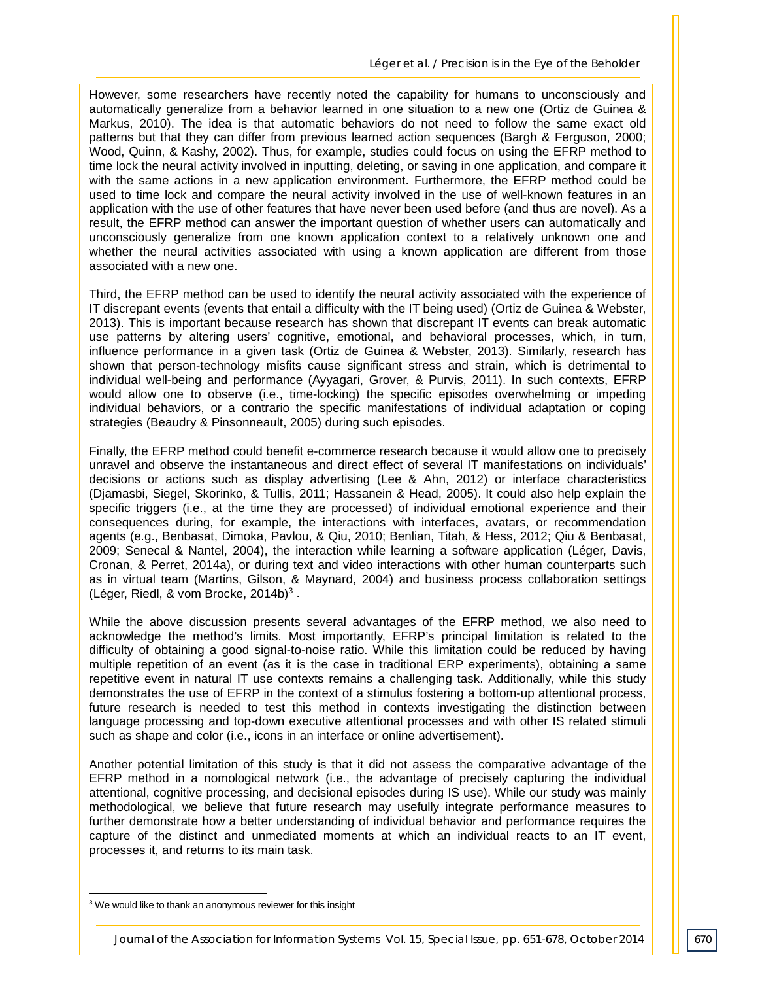However, some researchers have recently noted the capability for humans to unconsciously and automatically generalize from a behavior learned in one situation to a new one (Ortiz de Guinea & Markus, 2010). The idea is that automatic behaviors do not need to follow the same exact old patterns but that they can differ from previous learned action sequences (Bargh & Ferguson, 2000; Wood, Quinn, & Kashy, 2002). Thus, for example, studies could focus on using the EFRP method to time lock the neural activity involved in inputting, deleting, or saving in one application, and compare it with the same actions in a new application environment. Furthermore, the EFRP method could be used to time lock and compare the neural activity involved in the use of well-known features in an application with the use of other features that have never been used before (and thus are novel). As a result, the EFRP method can answer the important question of whether users can automatically and unconsciously generalize from one known application context to a relatively unknown one and whether the neural activities associated with using a known application are different from those associated with a new one.

Third, the EFRP method can be used to identify the neural activity associated with the experience of IT discrepant events (events that entail a difficulty with the IT being used) (Ortiz de Guinea & Webster, 2013). This is important because research has shown that discrepant IT events can break automatic use patterns by altering users' cognitive, emotional, and behavioral processes, which, in turn, influence performance in a given task (Ortiz de Guinea & Webster, 2013). Similarly, research has shown that person-technology misfits cause significant stress and strain, which is detrimental to individual well-being and performance (Ayyagari, Grover, & Purvis, 2011). In such contexts, EFRP would allow one to observe (i.e., time-locking) the specific episodes overwhelming or impeding individual behaviors, or a contrario the specific manifestations of individual adaptation or coping strategies (Beaudry & Pinsonneault, 2005) during such episodes.

Finally, the EFRP method could benefit e-commerce research because it would allow one to precisely unravel and observe the instantaneous and direct effect of several IT manifestations on individuals' decisions or actions such as display advertising (Lee & Ahn, 2012) or interface characteristics (Djamasbi, Siegel, Skorinko, & Tullis, 2011; Hassanein & Head, 2005). It could also help explain the specific triggers (i.e., at the time they are processed) of individual emotional experience and their consequences during, for example, the interactions with interfaces, avatars, or recommendation agents (e.g., Benbasat, Dimoka, Pavlou, & Qiu, 2010; Benlian, Titah, & Hess, 2012; Qiu & Benbasat, 2009; Senecal & Nantel, 2004), the interaction while learning a software application (Léger, Davis, Cronan, & Perret, 2014a), or during text and video interactions with other human counterparts such as in virtual team (Martins, Gilson, & Maynard, 2004) and business process collaboration settings (Léger, Riedl, & vom Brocke, 2014b)<sup>3</sup>.

While the above discussion presents several advantages of the EFRP method, we also need to acknowledge the method's limits. Most importantly, EFRP's principal limitation is related to the difficulty of obtaining a good signal-to-noise ratio. While this limitation could be reduced by having multiple repetition of an event (as it is the case in traditional ERP experiments), obtaining a same repetitive event in natural IT use contexts remains a challenging task. Additionally, while this study demonstrates the use of EFRP in the context of a stimulus fostering a bottom-up attentional process, future research is needed to test this method in contexts investigating the distinction between language processing and top-down executive attentional processes and with other IS related stimuli such as shape and color (i.e., icons in an interface or online advertisement).

Another potential limitation of this study is that it did not assess the comparative advantage of the EFRP method in a nomological network (i.e., the advantage of precisely capturing the individual attentional, cognitive processing, and decisional episodes during IS use). While our study was mainly methodological, we believe that future research may usefully integrate performance measures to further demonstrate how a better understanding of individual behavior and performance requires the capture of the distinct and unmediated moments at which an individual reacts to an IT event, processes it, and returns to its main task.

-

<sup>&</sup>lt;sup>3</sup> We would like to thank an anonymous reviewer for this insight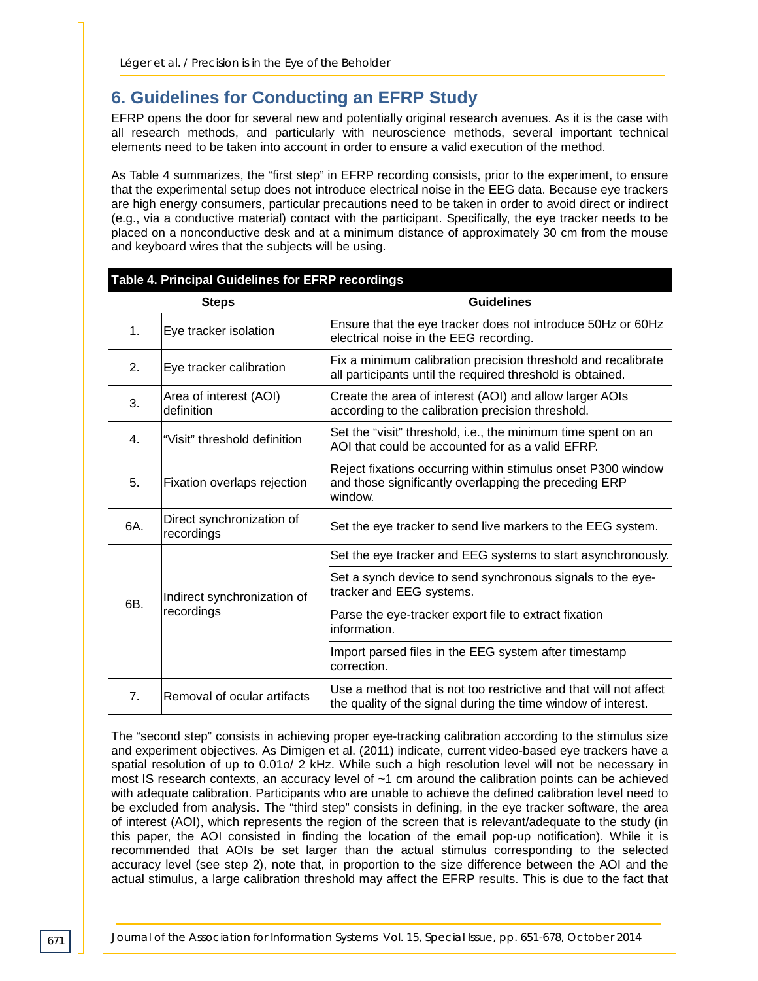## **6. Guidelines for Conducting an EFRP Study**

EFRP opens the door for several new and potentially original research avenues. As it is the case with all research methods, and particularly with neuroscience methods, several important technical elements need to be taken into account in order to ensure a valid execution of the method.

As Table 4 summarizes, the "first step" in EFRP recording consists, prior to the experiment, to ensure that the experimental setup does not introduce electrical noise in the EEG data. Because eye trackers are high energy consumers, particular precautions need to be taken in order to avoid direct or indirect (e.g., via a conductive material) contact with the participant. Specifically, the eye tracker needs to be placed on a nonconductive desk and at a minimum distance of approximately 30 cm from the mouse and keyboard wires that the subjects will be using.

| Table 4. Principal Guidelines for EFRP recordings |     |                                           |                                                                                                                                    |  |  |
|---------------------------------------------------|-----|-------------------------------------------|------------------------------------------------------------------------------------------------------------------------------------|--|--|
|                                                   |     | <b>Steps</b>                              | <b>Guidelines</b>                                                                                                                  |  |  |
|                                                   | 1.  | Eye tracker isolation                     | Ensure that the eye tracker does not introduce 50Hz or 60Hz<br>electrical noise in the EEG recording.                              |  |  |
|                                                   | 2.  | Eye tracker calibration                   | Fix a minimum calibration precision threshold and recalibrate<br>all participants until the required threshold is obtained.        |  |  |
|                                                   | 3.  | Area of interest (AOI)<br>definition      | Create the area of interest (AOI) and allow larger AOIs<br>according to the calibration precision threshold.                       |  |  |
|                                                   | 4.  | "Visit" threshold definition              | Set the "visit" threshold, i.e., the minimum time spent on an<br>AOI that could be accounted for as a valid EFRP.                  |  |  |
|                                                   | 5.  | Fixation overlaps rejection               | Reject fixations occurring within stimulus onset P300 window<br>and those significantly overlapping the preceding ERP<br>window.   |  |  |
|                                                   | 6A. | Direct synchronization of<br>recordings   | Set the eye tracker to send live markers to the EEG system.                                                                        |  |  |
|                                                   |     | Indirect synchronization of<br>recordings | Set the eye tracker and EEG systems to start asynchronously.                                                                       |  |  |
|                                                   | 6B. |                                           | Set a synch device to send synchronous signals to the eye-<br>tracker and EEG systems.                                             |  |  |
|                                                   |     |                                           | Parse the eye-tracker export file to extract fixation<br>information.                                                              |  |  |
|                                                   |     |                                           | Import parsed files in the EEG system after timestamp<br>correction.                                                               |  |  |
|                                                   | 7.  | Removal of ocular artifacts               | Use a method that is not too restrictive and that will not affect<br>the quality of the signal during the time window of interest. |  |  |

The "second step" consists in achieving proper eye-tracking calibration according to the stimulus size and experiment objectives. As Dimigen et al. (2011) indicate, current video-based eye trackers have a spatial resolution of up to 0.01o/ 2 kHz. While such a high resolution level will not be necessary in most IS research contexts, an accuracy level of ~1 cm around the calibration points can be achieved with adequate calibration. Participants who are unable to achieve the defined calibration level need to be excluded from analysis. The "third step" consists in defining, in the eye tracker software, the area of interest (AOI), which represents the region of the screen that is relevant/adequate to the study (in this paper, the AOI consisted in finding the location of the email pop-up notification). While it is recommended that AOIs be set larger than the actual stimulus corresponding to the selected accuracy level (see step 2), note that, in proportion to the size difference between the AOI and the actual stimulus, a large calibration threshold may affect the EFRP results. This is due to the fact that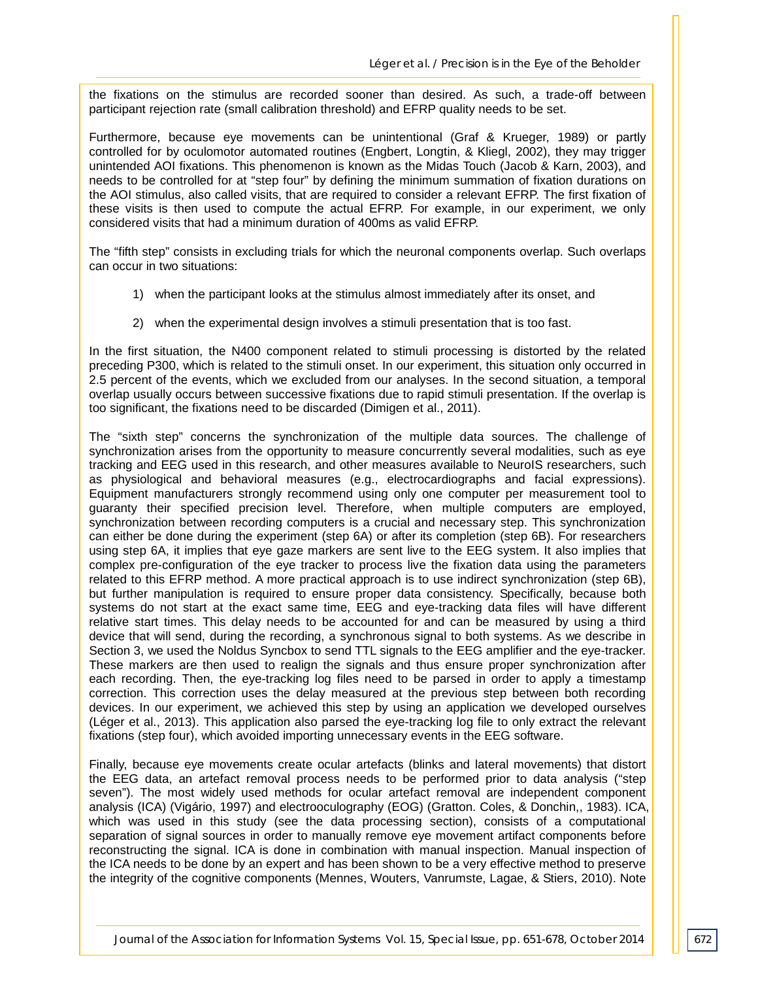the fixations on the stimulus are recorded sooner than desired. As such, a trade-off between participant rejection rate (small calibration threshold) and EFRP quality needs to be set.

Furthermore, because eye movements can be unintentional (Graf & Krueger, 1989) or partly controlled for by oculomotor automated routines (Engbert, Longtin, & Kliegl, 2002), they may trigger unintended AOI fixations. This phenomenon is known as the Midas Touch (Jacob & Karn, 2003), and needs to be controlled for at "step four" by defining the minimum summation of fixation durations on the AOI stimulus, also called visits, that are required to consider a relevant EFRP. The first fixation of these visits is then used to compute the actual EFRP. For example, in our experiment, we only considered visits that had a minimum duration of 400ms as valid EFRP.

The "fifth step" consists in excluding trials for which the neuronal components overlap. Such overlaps can occur in two situations:

- 1) when the participant looks at the stimulus almost immediately after its onset, and
- 2) when the experimental design involves a stimuli presentation that is too fast.

In the first situation, the N400 component related to stimuli processing is distorted by the related preceding P300, which is related to the stimuli onset. In our experiment, this situation only occurred in 2.5 percent of the events, which we excluded from our analyses. In the second situation, a temporal overlap usually occurs between successive fixations due to rapid stimuli presentation. If the overlap is too significant, the fixations need to be discarded (Dimigen et al., 2011).

The "sixth step" concerns the synchronization of the multiple data sources. The challenge of synchronization arises from the opportunity to measure concurrently several modalities, such as eye tracking and EEG used in this research, and other measures available to NeuroIS researchers, such as physiological and behavioral measures (e.g., electrocardiographs and facial expressions). Equipment manufacturers strongly recommend using only one computer per measurement tool to guaranty their specified precision level. Therefore, when multiple computers are employed, synchronization between recording computers is a crucial and necessary step. This synchronization can either be done during the experiment (step 6A) or after its completion (step 6B). For researchers using step 6A, it implies that eye gaze markers are sent live to the EEG system. It also implies that complex pre-configuration of the eye tracker to process live the fixation data using the parameters related to this EFRP method. A more practical approach is to use indirect synchronization (step 6B), but further manipulation is required to ensure proper data consistency. Specifically, because both systems do not start at the exact same time. EEG and eve-tracking data files will have different relative start times. This delay needs to be accounted for and can be measured by using a third device that will send, during the recording, a synchronous signal to both systems. As we describe in Section 3, we used the Noldus Syncbox to send TTL signals to the EEG amplifier and the eve-tracker. These markers are then used to realign the signals and thus ensure proper synchronization after each recording. Then, the eye-tracking log files need to be parsed in order to apply a timestamp correction. This correction uses the delay measured at the previous step between both recording devices. In our experiment, we achieved this step by using an application we developed ourselves (Léger et al., 2013). This application also parsed the eye-tracking log file to only extract the relevant fixations (step four), which avoided importing unnecessary events in the EEG software.

Finally, because eye movements create ocular artefacts (blinks and lateral movements) that distort the EEG data, an artefact removal process needs to be performed prior to data analysis ("step seven"). The most widely used methods for ocular artefact removal are independent component analysis (ICA) (Vigário, 1997) and electrooculography (EOG) (Gratton. Coles, & Donchin,, 1983). ICA, which was used in this study (see the data processing section), consists of a computational separation of signal sources in order to manually remove eye movement artifact components before reconstructing the signal. ICA is done in combination with manual inspection. Manual inspection of the ICA needs to be done by an expert and has been shown to be a very effective method to preserve the integrity of the cognitive components (Mennes, Wouters, Vanrumste, Lagae, & Stiers, 2010). Note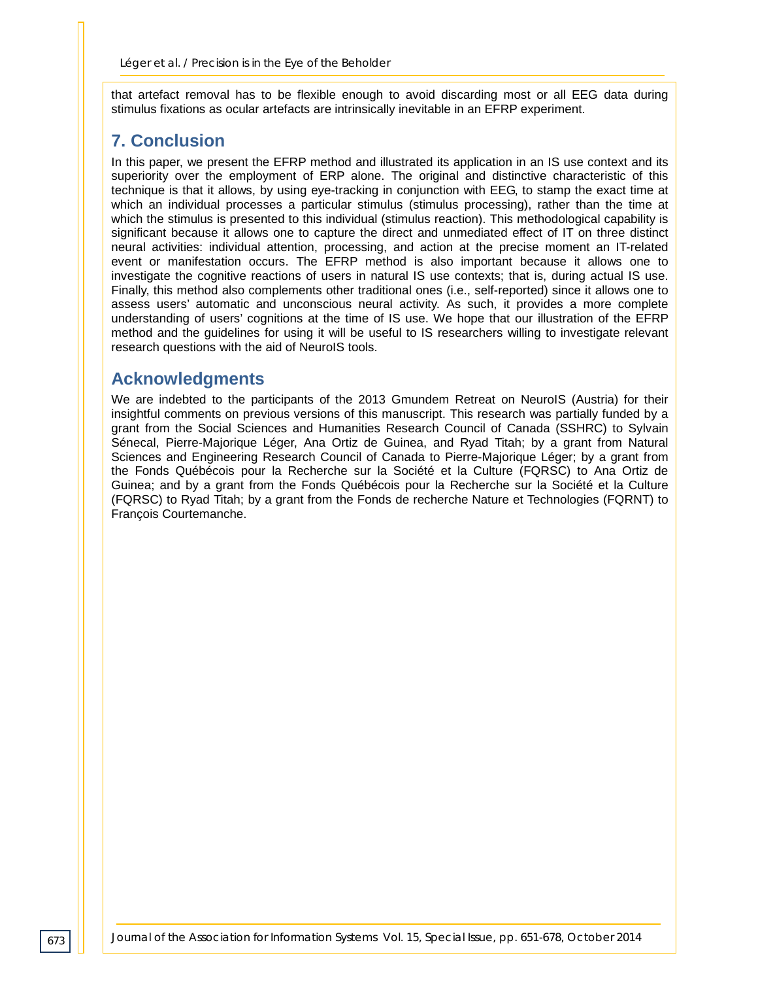that artefact removal has to be flexible enough to avoid discarding most or all EEG data during stimulus fixations as ocular artefacts are intrinsically inevitable in an EFRP experiment.

## **7. Conclusion**

In this paper, we present the EFRP method and illustrated its application in an IS use context and its superiority over the employment of ERP alone. The original and distinctive characteristic of this technique is that it allows, by using eye-tracking in conjunction with EEG, to stamp the exact time at which an individual processes a particular stimulus (stimulus processing), rather than the time at which the stimulus is presented to this individual (stimulus reaction). This methodological capability is significant because it allows one to capture the direct and unmediated effect of IT on three distinct neural activities: individual attention, processing, and action at the precise moment an IT-related event or manifestation occurs. The EFRP method is also important because it allows one to investigate the cognitive reactions of users in natural IS use contexts; that is, during actual IS use. Finally, this method also complements other traditional ones (i.e., self-reported) since it allows one to assess users' automatic and unconscious neural activity. As such, it provides a more complete understanding of users' cognitions at the time of IS use. We hope that our illustration of the EFRP method and the guidelines for using it will be useful to IS researchers willing to investigate relevant research questions with the aid of NeuroIS tools.

## **Acknowledgments**

We are indebted to the participants of the 2013 Gmundem Retreat on NeuroIS (Austria) for their insightful comments on previous versions of this manuscript. This research was partially funded by a grant from the Social Sciences and Humanities Research Council of Canada (SSHRC) to Sylvain Sénecal, Pierre-Majorique Léger, Ana Ortiz de Guinea, and Ryad Titah; by a grant from Natural Sciences and Engineering Research Council of Canada to Pierre-Majorique Léger; by a grant from the Fonds Québécois pour la Recherche sur la Société et la Culture (FQRSC) to Ana Ortiz de Guinea; and by a grant from the Fonds Québécois pour la Recherche sur la Société et la Culture (FQRSC) to Ryad Titah; by a grant from the Fonds de recherche Nature et Technologies (FQRNT) to François Courtemanche.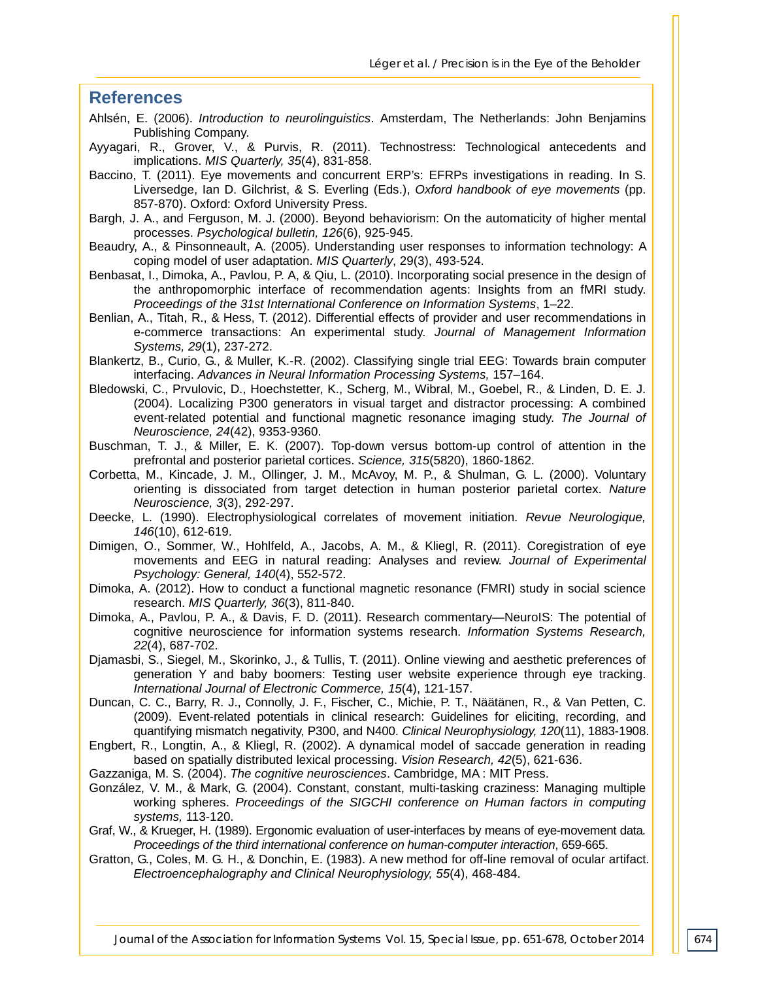#### **References**

- Ahlsén, E. (2006). *Introduction to neurolinguistics*. Amsterdam, The Netherlands: John Benjamins Publishing Company.
- Ayyagari, R., Grover, V., & Purvis, R. (2011). Technostress: Technological antecedents and implications. *MIS Quarterly, 35*(4), 831-858.
- Baccino, T. (2011). Eye movements and concurrent ERP's: EFRPs investigations in reading. In S. Liversedge, Ian D. Gilchrist, & S. Everling (Eds.), *Oxford handbook of eye movements* (pp. 857-870). Oxford: Oxford University Press.
- Bargh, J. A., and Ferguson, M. J. (2000). Beyond behaviorism: On the automaticity of higher mental processes. *Psychological bulletin, 126*(6), 925-945.
- Beaudry, A., & Pinsonneault, A. (2005). Understanding user responses to information technology: A coping model of user adaptation. *MIS Quarterly*, 29(3), 493-524.
- Benbasat, I., Dimoka, A., Pavlou, P. A, & Qiu, L. (2010). Incorporating social presence in the design of the anthropomorphic interface of recommendation agents: Insights from an fMRI study. *Proceedings of the 31st International Conference on Information Systems*, 1–22.
- Benlian, A., Titah, R., & Hess, T. (2012). Differential effects of provider and user recommendations in e-commerce transactions: An experimental study. *Journal of Management Information Systems, 29*(1), 237-272.
- Blankertz, B., Curio, G., & Muller, K.-R. (2002). Classifying single trial EEG: Towards brain computer interfacing. *Advances in Neural Information Processing Systems,* 157–164.
- Bledowski, C., Prvulovic, D., Hoechstetter, K., Scherg, M., Wibral, M., Goebel, R., & Linden, D. E. J. (2004). Localizing P300 generators in visual target and distractor processing: A combined event-related potential and functional magnetic resonance imaging study. *The Journal of Neuroscience, 24*(42), 9353-9360.
- Buschman, T. J., & Miller, E. K. (2007). Top-down versus bottom-up control of attention in the prefrontal and posterior parietal cortices. *Science, 315*(5820), 1860-1862.
- Corbetta, M., Kincade, J. M., Ollinger, J. M., McAvoy, M. P., & Shulman, G. L. (2000). Voluntary orienting is dissociated from target detection in human posterior parietal cortex. *Nature Neuroscience, 3*(3), 292-297.
- Deecke, L. (1990). Electrophysiological correlates of movement initiation. *Revue Neurologique, 146*(10), 612-619.
- Dimigen, O., Sommer, W., Hohlfeld, A., Jacobs, A. M., & Kliegl, R. (2011). Coregistration of eye movements and EEG in natural reading: Analyses and review. *Journal of Experimental Psychology: General, 140*(4), 552-572.
- Dimoka, A. (2012). How to conduct a functional magnetic resonance (FMRI) study in social science research. *MIS Quarterly, 36*(3), 811-840.
- Dimoka, A., Pavlou, P. A., & Davis, F. D. (2011). Research commentary—NeuroIS: The potential of cognitive neuroscience for information systems research. *Information Systems Research, 22*(4), 687-702.
- Djamasbi, S., Siegel, M., Skorinko, J., & Tullis, T. (2011). Online viewing and aesthetic preferences of generation Y and baby boomers: Testing user website experience through eye tracking. *International Journal of Electronic Commerce, 15*(4), 121-157.
- Duncan, C. C., Barry, R. J., Connolly, J. F., Fischer, C., Michie, P. T., Näätänen, R., & Van Petten, C. (2009). Event-related potentials in clinical research: Guidelines for eliciting, recording, and quantifying mismatch negativity, P300, and N400. *Clinical Neurophysiology, 120*(11), 1883-1908.
- Engbert, R., Longtin, A., & Kliegl, R. (2002). A dynamical model of saccade generation in reading based on spatially distributed lexical processing. *Vision Research, 42*(5), 621-636.
- Gazzaniga, M. S. (2004). *The cognitive neurosciences*. Cambridge, MA : MIT Press.
- González, V. M., & Mark, G. (2004). Constant, constant, multi-tasking craziness: Managing multiple working spheres. *Proceedings of the SIGCHI conference on Human factors in computing systems,* 113-120.
- Graf, W., & Krueger, H. (1989). Ergonomic evaluation of user-interfaces by means of eye-movement data*. Proceedings of the third international conference on human-computer interaction*, 659-665.
- Gratton, G., Coles, M. G. H., & Donchin, E. (1983). A new method for off-line removal of ocular artifact. *Electroencephalography and Clinical Neurophysiology, 55*(4), 468-484.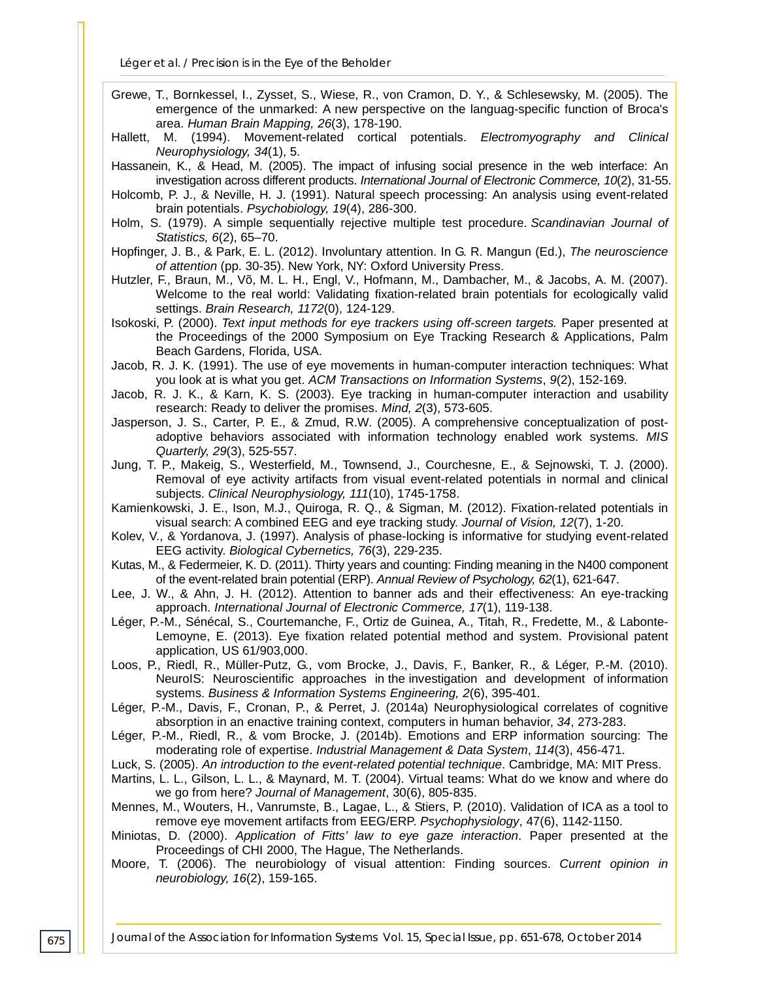- Grewe, T., Bornkessel, I., Zysset, S., Wiese, R., von Cramon, D. Y., & Schlesewsky, M. (2005). The emergence of the unmarked: A new perspective on the languag-specific function of Broca's area. *Human Brain Mapping, 26*(3), 178-190.
- Hallett, M. (1994). Movement-related cortical potentials. *Electromyography and Clinical Neurophysiology, 34*(1), 5.
- Hassanein, K., & Head, M. (2005). The impact of infusing social presence in the web interface: An investigation across different products. *International Journal of Electronic Commerce, 10*(2), 31-55.
- Holcomb, P. J., & Neville, H. J. (1991). Natural speech processing: An analysis using event-related brain potentials. *Psychobiology, 19*(4), 286-300.
- Holm, S. (1979). A simple sequentially rejective multiple test procedure. *Scandinavian Journal of Statistics, 6*(2), 65–70.
- Hopfinger, J. B., & Park, E. L. (2012). Involuntary attention. In G. R. Mangun (Ed.), *The neuroscience of attention* (pp. 30-35). New York, NY: Oxford University Press.
- Hutzler, F., Braun, M., Võ, M. L. H., Engl, V., Hofmann, M., Dambacher, M., & Jacobs, A. M. (2007). Welcome to the real world: Validating fixation-related brain potentials for ecologically valid settings. *Brain Research, 1172*(0), 124-129.
- Isokoski, P. (2000). *Text input methods for eye trackers using off-screen targets.* Paper presented at the Proceedings of the 2000 Symposium on Eye Tracking Research & Applications, Palm Beach Gardens, Florida, USA.
- Jacob, R. J. K. (1991). The use of eye movements in human-computer interaction techniques: What you look at is what you get. *ACM Transactions on Information Systems*, *9*(2), 152-169.
- Jacob, R. J. K., & Karn, K. S. (2003). Eye tracking in human-computer interaction and usability research: Ready to deliver the promises. *Mind, 2*(3), 573-605.
- Jasperson, J. S., Carter, P. E., & Zmud, R.W. (2005). A comprehensive conceptualization of postadoptive behaviors associated with information technology enabled work systems. *MIS Quarterly, 29*(3), 525-557.
- Jung, T. P., Makeig, S., Westerfield, M., Townsend, J., Courchesne, E., & Sejnowski, T. J. (2000). Removal of eye activity artifacts from visual event-related potentials in normal and clinical subjects. *Clinical Neurophysiology, 111*(10), 1745-1758.
- Kamienkowski, J. E., Ison, M.J., Quiroga, R. Q., & Sigman, M. (2012). Fixation-related potentials in visual search: A combined EEG and eye tracking study. *Journal of Vision, 12*(7), 1-20.
- Kolev, V., & Yordanova, J. (1997). Analysis of phase-locking is informative for studying event-related EEG activity. *Biological Cybernetics, 76*(3), 229-235.
- Kutas, M., & Federmeier, K. D. (2011). Thirty years and counting: Finding meaning in the N400 component of the event-related brain potential (ERP). *Annual Review of Psychology, 62*(1), 621-647.
- Lee, J. W., & Ahn, J. H. (2012). Attention to banner ads and their effectiveness: An eye-tracking approach. *International Journal of Electronic Commerce, 17*(1), 119-138.
- Léger, P.-M., Sénécal, S., Courtemanche, F., Ortiz de Guinea, A., Titah, R., Fredette, M., & Labonte-Lemoyne, E. (2013). Eye fixation related potential method and system. Provisional patent application, US 61/903,000.
- Loos, P., Riedl, R., Müller-Putz, G., vom Brocke, J., Davis, F., Banker, R., & Léger, P.-M. (2010). NeuroIS: Neuroscientific approaches in the investigation and development of information systems. *Business & Information Systems Engineering, 2*(6), 395-401.
- Léger, P.-M., Davis, F., Cronan, P., & Perret, J. (2014a) Neurophysiological correlates of cognitive absorption in an enactive training context, computers in human behavior, *34*, 273-283.
- Léger, P.-M., Riedl, R., & vom Brocke, J. (2014b). Emotions and ERP information sourcing: The moderating role of expertise. *Industrial Management & Data System*, *114*(3), 456-471.
- Luck, S. (2005). *An introduction to the event-related potential technique*. Cambridge, MA: MIT Press.
- Martins, L. L., Gilson, L. L., & Maynard, M. T. (2004). Virtual teams: What do we know and where do we go from here? *Journal of Management*, 30(6), 805-835.
- Mennes, M., Wouters, H., Vanrumste, B., Lagae, L., & Stiers, P. (2010). Validation of ICA as a tool to remove eye movement artifacts from EEG/ERP. *Psychophysiology*, 47(6), 1142-1150.
- Miniotas, D. (2000). *Application of Fitts' law to eye gaze interaction*. Paper presented at the Proceedings of CHI 2000, The Hague, The Netherlands.
- Moore, T. (2006). The neurobiology of visual attention: Finding sources. *Current opinion in neurobiology, 16*(2), 159-165.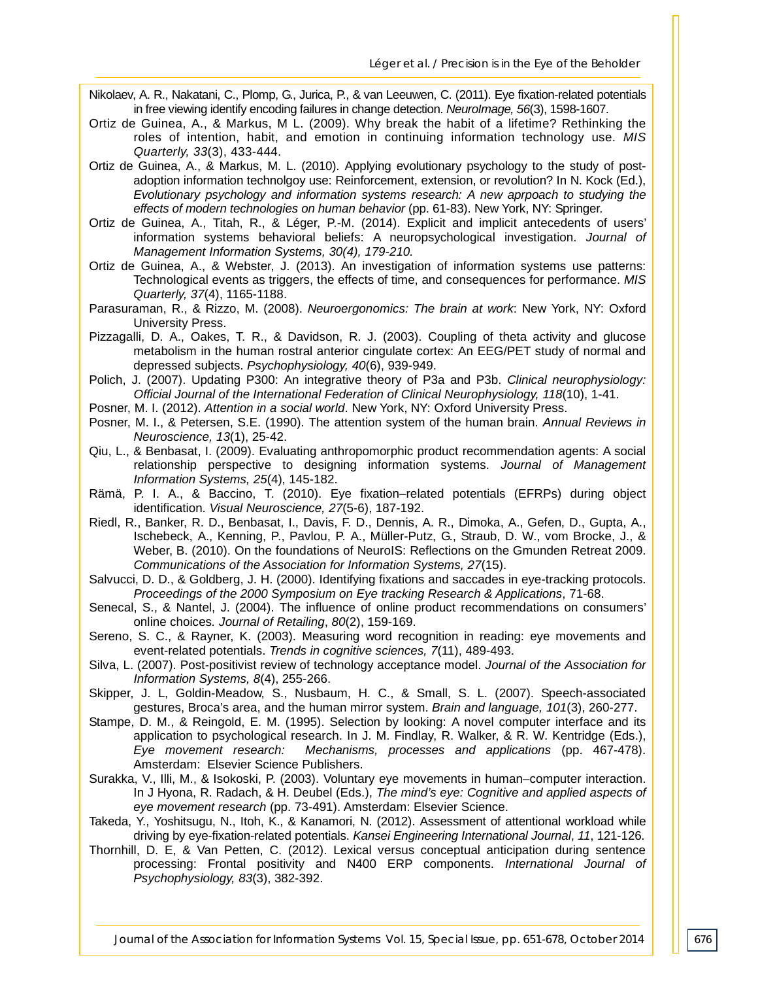- Nikolaev, A. R., Nakatani, C., Plomp, G., Jurica, P., & van Leeuwen, C. (2011). Eye fixation-related potentials in free viewing identify encoding failures in change detection. *NeuroImage, 56*(3), 1598-1607.
- Ortiz de Guinea, A., & Markus, M L. (2009). Why break the habit of a lifetime? Rethinking the roles of intention, habit, and emotion in continuing information technology use. *MIS Quarterly, 33*(3), 433-444.
- Ortiz de Guinea, A., & Markus, M. L. (2010). Applying evolutionary psychology to the study of postadoption information technolgoy use: Reinforcement, extension, or revolution? In N. Kock (Ed.), *Evolutionary psychology and information systems research: A new aprpoach to studying the effects of modern technologies on human behavior* (pp. 61-83). New York, NY: Springer.
- Ortiz de Guinea, A., Titah, R., & Léger, P.-M. (2014). Explicit and implicit antecedents of users' information systems behavioral beliefs: A neuropsychological investigation. *Journal of Management Information Systems, 30(4), 179-210.*
- Ortiz de Guinea, A., & Webster, J. (2013). An investigation of information systems use patterns: Technological events as triggers, the effects of time, and consequences for performance. *MIS Quarterly, 37*(4), 1165-1188.
- Parasuraman, R., & Rizzo, M. (2008). *Neuroergonomics: The brain at work*: New York, NY: Oxford University Press.
- Pizzagalli, D. A., Oakes, T. R., & Davidson, R. J. (2003). Coupling of theta activity and glucose metabolism in the human rostral anterior cingulate cortex: An EEG/PET study of normal and depressed subjects. *Psychophysiology, 40*(6), 939-949.
- Polich, J. (2007). Updating P300: An integrative theory of P3a and P3b. *Clinical neurophysiology: Official Journal of the International Federation of Clinical Neurophysiology, 118*(10), 1-41.
- Posner, M. I. (2012). *Attention in a social world*. New York, NY: Oxford University Press.
- Posner, M. I., & Petersen, S.E. (1990). The attention system of the human brain. *Annual Reviews in Neuroscience, 13*(1), 25-42.
- Qiu, L., & Benbasat, I. (2009). Evaluating anthropomorphic product recommendation agents: A social relationship perspective to designing information systems. *Journal of Management Information Systems, 25*(4), 145-182.
- Rämä, P. I. A., & Baccino, T. (2010). Eye fixation–related potentials (EFRPs) during object identification. *Visual Neuroscience, 27*(5-6), 187-192.
- Riedl, R., Banker, R. D., Benbasat, I., Davis, F. D., Dennis, A. R., Dimoka, A., Gefen, D., Gupta, A., Ischebeck, A., Kenning, P., Pavlou, P. A., Müller-Putz, G., Straub, D. W., vom Brocke, J., & Weber, B. (2010). On the foundations of NeuroIS: Reflections on the Gmunden Retreat 2009. *Communications of the Association for Information Systems, 27*(15).
- Salvucci, D. D., & Goldberg, J. H. (2000). Identifying fixations and saccades in eye-tracking protocols. *Proceedings of the 2000 Symposium on Eye tracking Research & Applications*, 71-68.
- Senecal, S., & Nantel, J. (2004). The influence of online product recommendations on consumers' online choices*. Journal of Retailing*, *80*(2), 159-169.
- Sereno, S. C., & Rayner, K. (2003). Measuring word recognition in reading: eye movements and event-related potentials. *Trends in cognitive sciences, 7*(11), 489-493.
- Silva, L. (2007). Post-positivist review of technology acceptance model. *Journal of the Association for Information Systems, 8*(4), 255-266.
- Skipper, J. L, Goldin-Meadow, S., Nusbaum, H. C., & Small, S. L. (2007). Speech-associated gestures, Broca's area, and the human mirror system. *Brain and language, 101*(3), 260-277.
- Stampe, D. M., & Reingold, E. M. (1995). Selection by looking: A novel computer interface and its application to psychological research. In J. M. Findlay, R. Walker, & R. W. Kentridge (Eds.), Eye movement research: Mechanisms, processes and applications (pp. 467-478). *Mechanisms, processes and applications* (pp. 467-478). Amsterdam: Elsevier Science Publishers.
- Surakka, V., Illi, M., & Isokoski, P. (2003). Voluntary eye movements in human–computer interaction. In J Hyona, R. Radach, & H. Deubel (Eds.), *The mind's eye: Cognitive and applied aspects of eye movement research* (pp. 73-491). Amsterdam: Elsevier Science.
- Takeda, Y., Yoshitsugu, N., Itoh, K., & Kanamori, N. (2012). Assessment of attentional workload while driving by eye-fixation-related potentials. *Kansei Engineering International Journal*, *11*, 121-126.
- Thornhill, D. E, & Van Petten, C. (2012). Lexical versus conceptual anticipation during sentence processing: Frontal positivity and N400 ERP components. *International Journal of Psychophysiology, 83*(3), 382-392.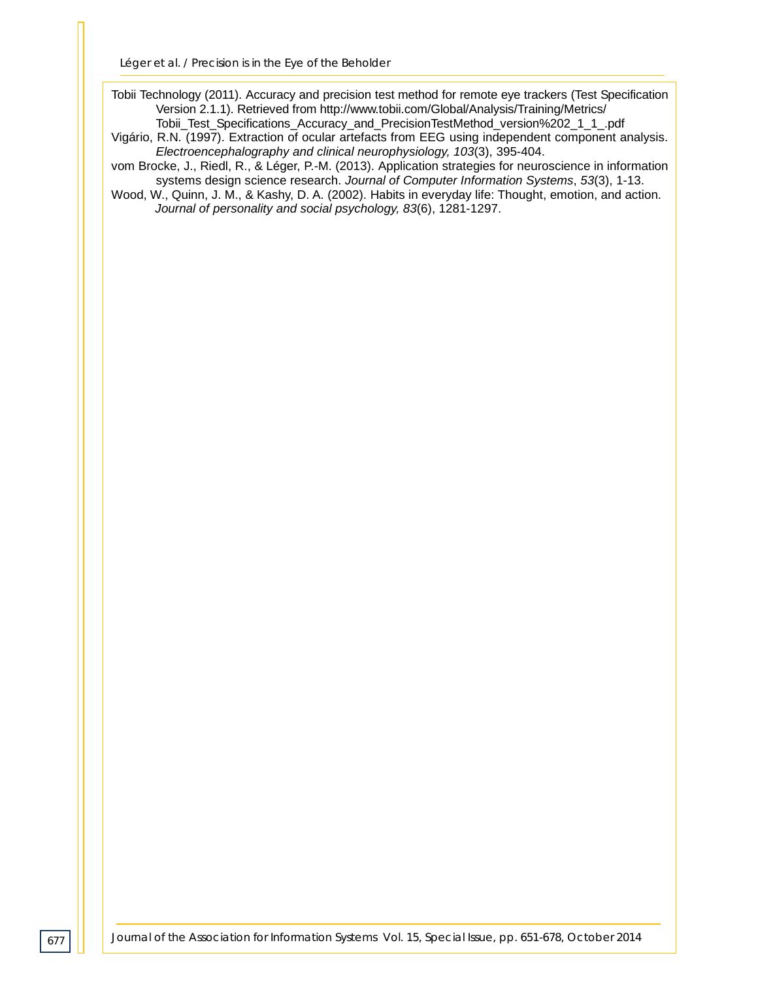Tobii Technology (2011). Accuracy and precision test method for remote eye trackers (Test Specification Version 2.1.1). Retrieved from http://www.tobii.com/Global/Analysis/Training/Metrics/ Tobii\_Test\_Specifications\_Accuracy\_and\_PrecisionTestMethod\_version%202\_1\_1\_.pdf

- Vigário, R.N. (1997). Extraction of ocular artefacts from EEG using independent component analysis. *Electroencephalography and clinical neurophysiology, 103*(3), 395-404.
- vom Brocke, J., Riedl, R., & Léger, P.-M. (2013). Application strategies for neuroscience in information systems design science research. *Journal of Computer Information Systems*, *53*(3), 1-13.
- Wood, W., Quinn, J. M., & Kashy, D. A. (2002). Habits in everyday life: Thought, emotion, and action. *Journal of personality and social psychology, 83*(6), 1281-1297.